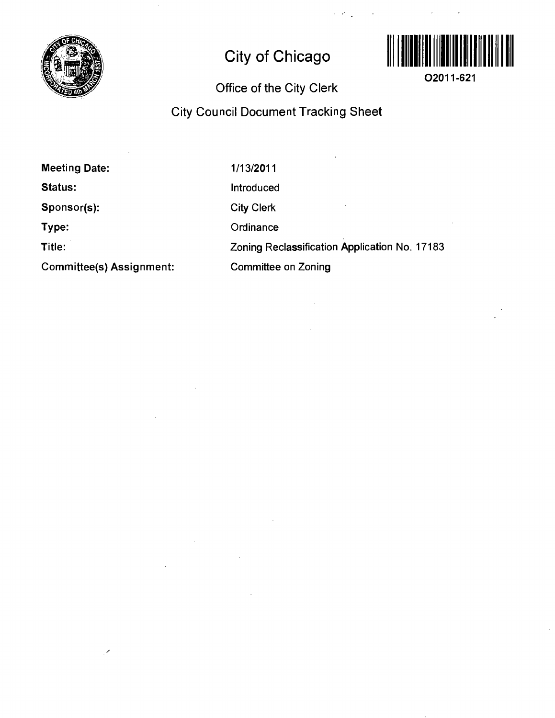

# **City of Chicago**



**02011-621** 

## **Office of the City Clerk**

## **City Council Document Tracking Sheet**

**Meeting Date:** 

**Status:** 

**Sponsor(s):** 

**Type:** 

**Title:** 

**Committee(s) Assignment:** 

1/13/2011 Introduced City Clerk **Ordinance** Zoning Reclassification Application No. 17183 Committee on Zoning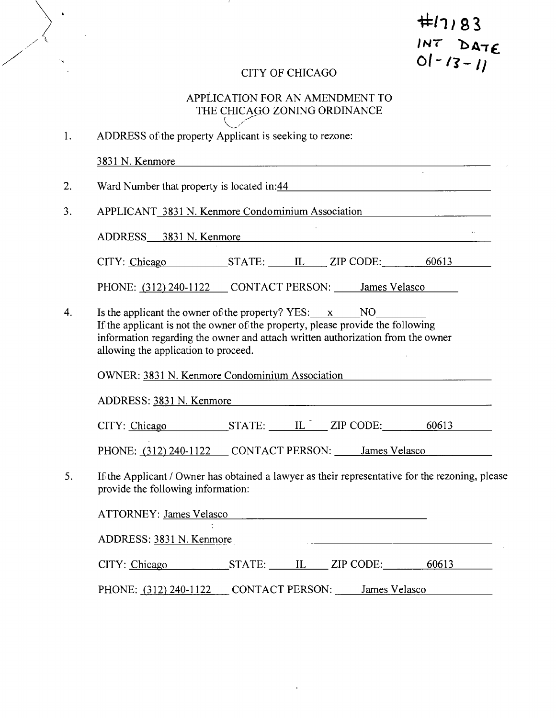# $#11183$ **DATE**<br>01-13-11

## CITY OF CHICAGO

 $\ddot{\phantom{a}}$ 

# APPLICATION FOR AN AMENDMENT TO THE CHICAGO ZONING ORDINANCE

| 1. | ADDRESS of the property Applicant is seeking to rezone:                                                                                                                                                                                                               |  |  |  |  |
|----|-----------------------------------------------------------------------------------------------------------------------------------------------------------------------------------------------------------------------------------------------------------------------|--|--|--|--|
|    | 3831 N. Kenmore<br><u> 1980 - Johann Johann Harry Harry Harry Harry Harry Harry Harry Harry Harry Harry Harry Harry Harry Harry Harry</u>                                                                                                                             |  |  |  |  |
| 2. | Ward Number that property is located in:44                                                                                                                                                                                                                            |  |  |  |  |
| 3. | APPLICANT 3831 N. Kenmore Condominium Association                                                                                                                                                                                                                     |  |  |  |  |
|    | ADDRESS 3831 N. Kenmore                                                                                                                                                                                                                                               |  |  |  |  |
|    | CITY: Chicago STATE: LL ZIP CODE: 60613                                                                                                                                                                                                                               |  |  |  |  |
|    | PHONE: (312) 240-1122 CONTACT PERSON: James Velasco                                                                                                                                                                                                                   |  |  |  |  |
| 4. | Is the applicant the owner of the property? $YES: x$ NO<br>If the applicant is not the owner of the property, please provide the following<br>information regarding the owner and attach written authorization from the owner<br>allowing the application to proceed. |  |  |  |  |
|    | OWNER: 3831 N. Kenmore Condominium Association                                                                                                                                                                                                                        |  |  |  |  |
|    | ADDRESS: 3831 N. Kenmore                                                                                                                                                                                                                                              |  |  |  |  |
|    | CITY: Chicago STATE: $IL^{\top}$ ZIP CODE: 60613                                                                                                                                                                                                                      |  |  |  |  |
|    | PHONE: (312) 240-1122 CONTACT PERSON: James Velasco                                                                                                                                                                                                                   |  |  |  |  |
| 5. | If the Applicant / Owner has obtained a lawyer as their representative for the rezoning, please<br>provide the following information:                                                                                                                                 |  |  |  |  |
|    | ATTORNEY: James Velasco                                                                                                                                                                                                                                               |  |  |  |  |
|    | ADDRESS: 3831 N. Kenmore                                                                                                                                                                                                                                              |  |  |  |  |
|    | CITY: Chicago STATE: IL ZIP CODE: 60613                                                                                                                                                                                                                               |  |  |  |  |
|    | PHONE: (312) 240-1122 CONTACT PERSON: James Velasco                                                                                                                                                                                                                   |  |  |  |  |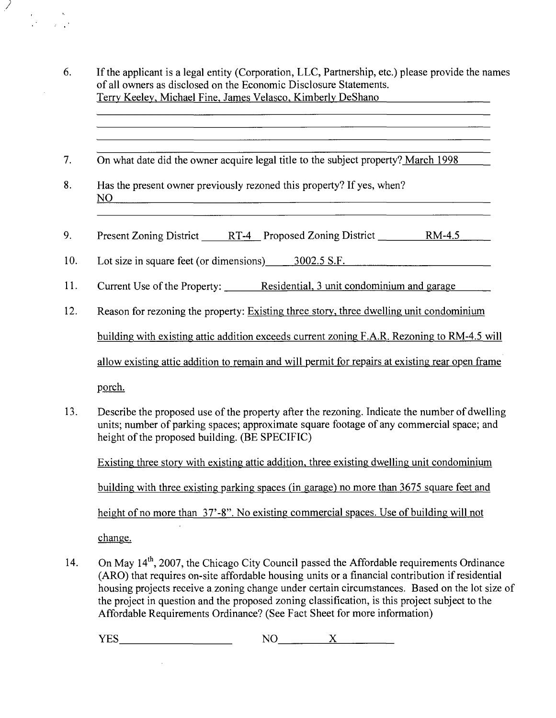6. If the applicant is a legal entity (Corporation, LLC, Partnership, etc.) please provide the names of all owners as disclosed on the Economic Disclosure Statements. Terry Keeley, Michael Fine. James Velasco, Kimberly DeShano

<u> 1989 - Andrea Station Barbara, actor a component de la componentación de la componentación de la componentació</u>

<u> 1980 - Johann John Stein, mars an deutscher Stein († 1980)</u>

- 7. On what date did the owner acquire legal title to the subject propertv? March 1998
- 8. Has the present owner previously rezoned this property? If yes, when? NO
- 9. Present Zoning District RT-4 Proposed Zoning District RM-4.5
- 10. Lot size in square feet (or dimensions) 3002.5 S.F.
- 11. Current Use of the Property: Residential, 3 unit condominium and garage
- 12. Reason for rezoning the property: Existing three story, three dwelling unit condominium

building with existing attic addition exceeds current zoning F.A.R. Rezoning to RM-4.5 will

allow existing attic addition to remain and will permit for repairs at existing rear open frame

porch.

 $\mathcal{L} \subset \mathcal{L}^+$ 

13. Describe the proposed use of the property after the rezoning. Indicate the number of dwelling units; number of parking spaces; approximate square footage of any commercial space; and height of the proposed building. (BE SPECIFIC)

Existing three story with existing attic addition, three existing dwelling unit condominium building with three existing parking spaces (in garage) no more than 3675 square feet and height of no more than 37'-8". No existing commercial spaces. Use of building will not

change.

 $\sim$ 

14. On May 14<sup>th</sup>, 2007, the Chicago City Council passed the Affordable requirements Ordinance (ARO) that requires on-site affordable housing units or a financial contribution if residential housing projects receive a zoning change under certain circumstances. Based on the lot size of the project in question and the proposed zoning classification, is this project subject to the Affordable Requirements Ordinance? (See Fact Sheet for more information)

YES NO X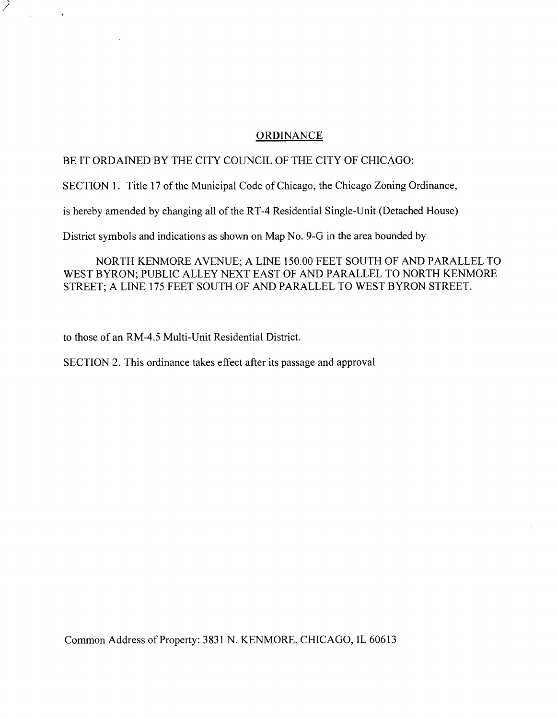#### **ORDINANCE**

#### BE IT ORDAINED BY THE CITY COUNCIL OF THE CITY OF CHICAGO:

SECTION 1. Title 17 of the Municipal Code of Chicago, the Chicago Zoning Ordinance,

is hereby amended by changing all of the RT-4 Residential Single-Unit (Detached House)

District symbols and indications as shovm on Map No. 9-G in the area bounded by

NORTH KENMORE AVENUE; A LINE 150.00 FEET SOUTH OF AND PARALLEL TO WEST BYRON; PUBLIC ALLEY NEXT EAST OF AND PARALLEL TO NORTH KENMORE STREET; A LINE 175 FEET SOUTH OF AND PARALLEL TO WEST BYRON STREET.

to those of an RM-4.5 Multi-Unit Residential District.

SECTION 2. This ordinance takes effect after its passage and approval

Common Address of Property: 3831 N. KENMORE, CHICAGO, IL 60613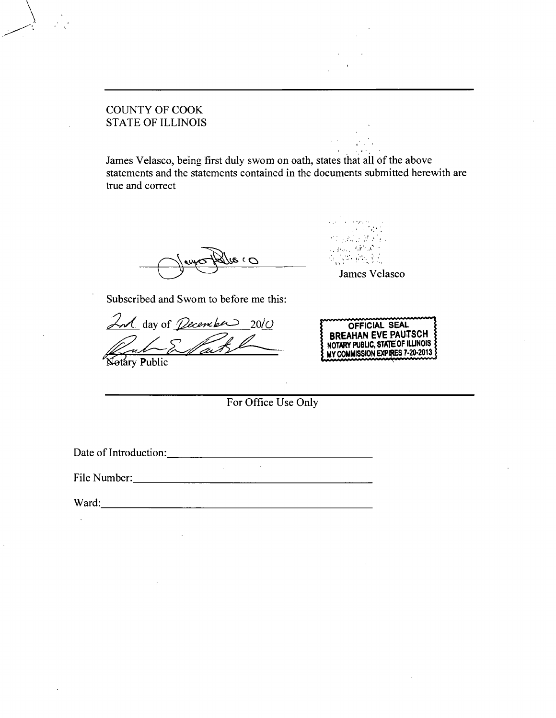## COUNTY OF COOK STATE OF ILLINOIS

James Velasco, being first duly swom on oath, states that all of the above statements and the statements contained in the documents submitted herewith are true and correct

 $\mathcal{O}$  )  $\mathcal{Q}_\mathcal{U}$ 

*Subscribed and Swom to before me this:* 

2nd day of *<u>December</u>* 20(0 n

Notary Public

**OFFICIAL SEAL BREAHAN EVE PAUTSCH NOTARY PUBLIC. STATE OF ILLINOIS MY COMMISSION EXPIRES 7-20-2013** 

James Velasco

For Office Use Only

 $\sim$ 

Date of Introduction: 2000 and 2000 and 2000 and 2000 and 2000 and 2000 and 2000 and 2000 and 2000 and 2000 and 2000 and 2000 and 2000 and 2000 and 2000 and 2000 and 2000 and 2000 and 2000 and 2000 and 2000 and 2000 and 20

File Number:

 $\mathcal{L}_{\rm{max}}$ 

Ward: Ward: 2008. Experience of the state of the state of the state of the state of the state of the state of the state of the state of the state of the state of the state of the state of the state of the state of the stat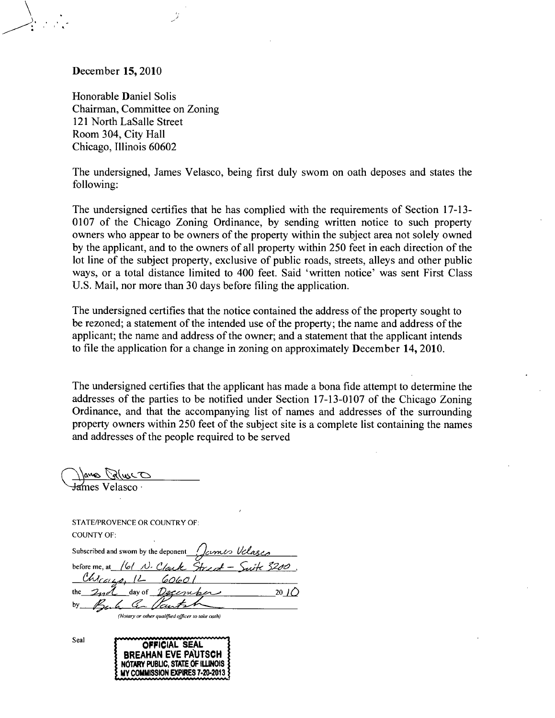#### **December 15, 2010**

Honorable Daniel Solis Chairman, Committee on Zoning 121 North LaSalle Street Room 304, City Hall Chicago, Illinois 60602

The undersigned, James Velasco, being first duly swom on oath deposes and states the following:

The undersigned certifies that he has complied with the requirements of Section 17-13- 0107 of the Chicago Zoning Ordinance, by sending written notice to such property owners who appear to be owners of the property within the subject area not solely owned by the applicant, and to the owners of all property within 250 feet in each direction of the lot line of the subject property, exclusive of public roads, streets, alleys and other public ways, or a total distance limited to 400 feet. Said 'written notice' was sent First Class U.S. Mail, nor more than 30 days before filing the application.

**The undersigned certifies that the notice contained the address of the property sought to be rezoned; a statement of the intended use of the property; the name and address of the applicant; the name and address of the owner; and a statement that the applicant intends to file the application for a change in zoning on approximately December 14, 2010.** 

The undersigned certifies that the applicant has made a bona fide attempt to determine the addresses of the parties to be notified under Section 17-13-0107 of the Chicago Zoning Ordinance, and that the accompanying list of names and addresses of the surrounding property owners within 250 feet of the subject site is a complete list containing the names and addresses of the people required to be served

James PalusCO ames Velasco

STATE/PROVENCE OR COUNTRY OF: COUNTY OF:

*Subscribed and sworn by the deponent Ichnes Velages* before me, at  $/6/ N \cdot$  Clauk Street - Suite 3200. *Chronie, 12 60601*  $2nd$  day of  $Dgccn$ *be* 20 ) *by cr^^.,..^^* 

*(Notary or olher qualified officer lo take oath)* 

BREAHAN EVE PAUTSCH NOTARY PUBUC, STATE OF IlilNOIS MY COMMISSION EXPIRES 7-20-2013

Seal **COFFICIAL SEAL**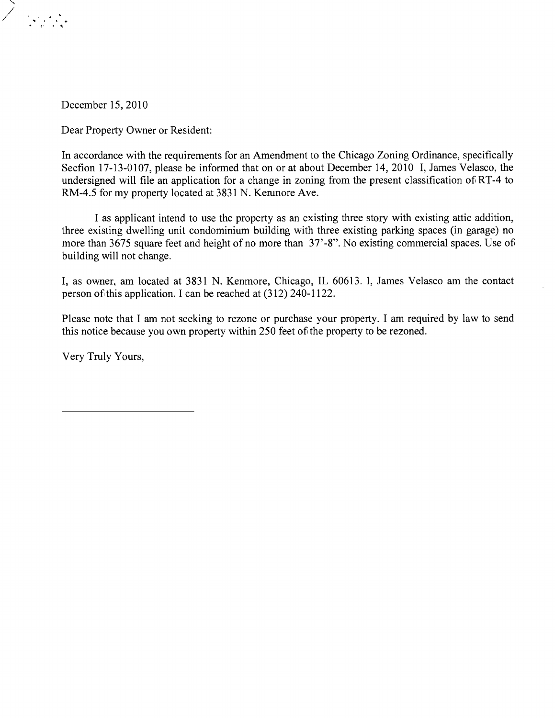

December 15,2010

Dear Property Owner or Resident:

In accordance with the requirements for an Amendment to the Chicago Zoning Ordinance, specifically Secfion 17-13-0107, please be informed that on or at about December 14, 2010 I, James Velasco, the undersigned will file an application for a change in zoning from the present classification of RT-4 to RM-4.5 for my property located at 3831 N. Kerunore Ave.

I as applicant intend to use the property as an existing three story with existing attic addition, three existing dwelling unit condominium building with three existing parking spaces (in garage) no more than 3675 square feet and height of no more than 37'-8". No existing commercial spaces. Use of building will not change.

I, as owner, am located at 3831 N. Kenmore, Chicago, IL 60613. 1, James Velasco am the contact person of this application. I can be reached at (312) 240-1122.

Please note that I am not seeking to rezone or purchase your property. I am required by law to send this notice because you own property within 250 feet of the property to be rezoned.

Very Truly Yours,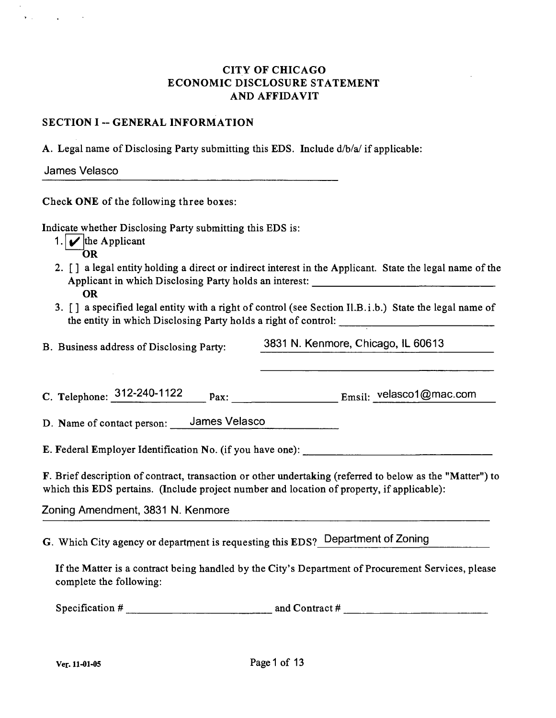## CITY OF CHICAGO ECONOMIC DISCLOSURE STATEMENT AND AFFIDAVIT

#### SECTION I -- GENERAL INFORMATION

A. Legal name of Disclosing Party submitting this EDS. Include  $d/b/a$  if applicable:

James Velasco

 $\mathbf{r} = \mathbf{r}$ 

Check ONE of the following three boxes:

Indicate whether Disclosing Party submitting this EDS is:

- 1.  $\blacktriangleright$  the Applicant
	- OR
- 2. [] a legal entity holding a direct or indirect interest in the Applicant. State the legal name of the Applicant in which Disclosing Party holds an interest: OR
- 3. [] a specified legal entity with a right of control (see Section Il.B.i.b.) State the legal name of the entity in which Disclosing Party holds a right of control:

B. Business address of Disclosing Party: 3831 N. Kenmore, Chicago, IL 60613

C. Telephone:  $312-240-1122$  pax: Emsil: velasco1@mac.com

D. Name of contact person: James Velasco

E. Federal Employer Identification No. (if you have one):

F. Brief description of contract, transaction or other undertaking (referred to below as the "Matter") to which this EDS pertains. (Include project number and location of property, if applicable):

Zoning Amendment, 3831 N. Kenmore

G. Which City agency or department is requesting this EDS? Department of Zoning

If the Matter is a contract being handled by the City's Department of Procurement Services, please complete the following:

Specification # and Contract #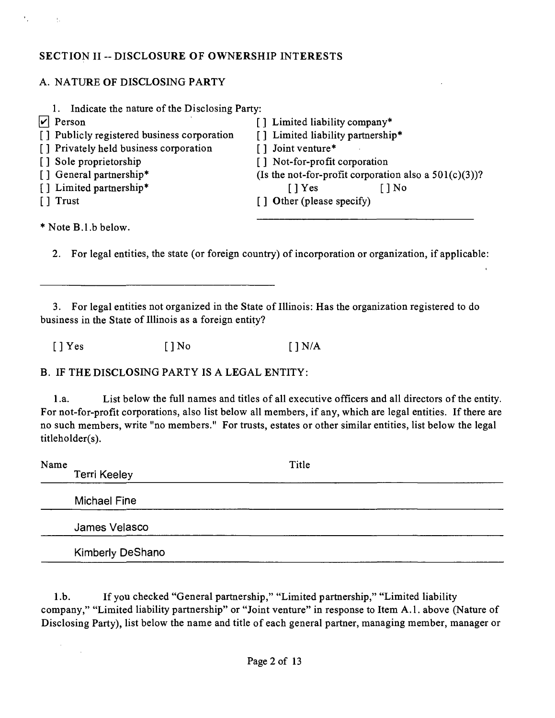## **SECTION II -- DISCLOSURE OF OWNERSHIP INTERESTS**

## A. NATURE OF DISCLOSING PARTY

| Indicate the nature of the Disclosing Party:<br>1. |                                                          |
|----------------------------------------------------|----------------------------------------------------------|
| $ \mathbf{v} $ Person                              | [] Limited liability company*                            |
| [] Publicly registered business corporation        | [] Limited liability partnership*                        |
| [] Privately held business corporation             | [] Joint venture*                                        |
| [] Sole proprietorship                             | [] Not-for-profit corporation                            |
| [] General partnership*                            | (Is the not-for-profit corporation also a $501(c)(3)$ )? |
| [] Limited partnership*                            | $\lceil$   Yes<br>$\lceil \, \rceil$ No                  |
| [ ] Trust                                          | [] Other (please specify)                                |
|                                                    |                                                          |

•"Note B.l.b below.

 $\sim$ 

 $\sim 0.1$ 

2. For legal entities, the state (or foreign country) of incorporation or organization, if applicable:

3. For legal entities not organized in the State of Illinois: Has the organization registered to do business in the State of Illinois as a foreign entity?

 $[ ]$  Yes  $[ ]$  No  $[ ]$  N/A

B. IF THE DISCLOSING PARTY IS A LEGAL ENTITY:

1.a. List below the full names and titles of all executive officers and all directors of the entity. For not-for-profit corporations, also list below all members, if any, which are legal entities. If there are no such members, write "no members." For trusts, estates or other similar entities, list below the legal titleholder(s).

| Name | <b>Terri Keeley</b>     | Title |  |
|------|-------------------------|-------|--|
|      | <b>Michael Fine</b>     |       |  |
|      | James Velasco           |       |  |
|      | <b>Kimberly DeShano</b> |       |  |

1 .b. If you checked "General partnership," "Limited partnership," "Limited liability company," "Limited liability partnership" or "Joint venture" in response to Item A.l . above (Nature of Disclosing Party), list below the name and title of each general partner, managing member, manager or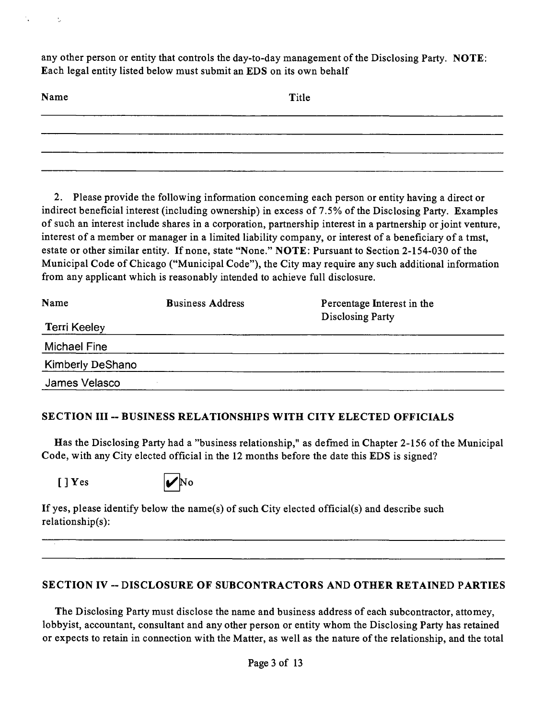any other person or entity that controls the day-to-day management of the Disclosing Party. NOTE: Each legal entity listed below must submit an EDS on its own behalf

| Name | Title  |
|------|--------|
|      |        |
|      |        |
|      | $\sim$ |

2. Please provide the following information conceming each person or entity having a direct or indirect beneficial interest (including ownership) in excess of 7.5% of the Disclosing Party. Examples of such an interest include shares in a corporation, partnership interest in a partnership or joint venture, interest of a member or manager in a limited liability company, or interest of a beneficiary of a tmst, estate or other similar entity. If none, state "None." NOTE: Pursuant to Section 2-154-030 of the Municipal Code of Chicago ("Municipal Code"), the City may require any such additional information from any applicant which is reasonably intended to achieve full disclosure.

| Name                    | <b>Business Address</b> | Percentage Interest in the |
|-------------------------|-------------------------|----------------------------|
| <b>Terri Keeley</b>     |                         | <b>Disclosing Party</b>    |
| Michael Fine            |                         |                            |
| <b>Kimberly DeShano</b> |                         |                            |
| James Velasco           |                         |                            |

## **SECTION III ~ BUSINESS RELATIONSHIPS WITH CITY ELECTED OFFICIALS**

Has the Disclosing Party had a "business relationship," as defined in Chapter 2-156 of the Municipal Code, with any City elected official in the 12 months before the date this EDS is signed?

 $[$  | Yes

 $\frac{1}{2}$ 



If yes, please identify below the name(s) of such City elected official(s) and describe such relationship(s):

## **SECTION IV ~ DISCLOSURE OF SUBCONTRACTORS AND OTHER RETAINED PARTIES**

The Disclosing Party must disclose the name and business address of each subcontractor, attomey, lobbyist, accountant, consultant and any other person or entity whom the Disclosing Party has retained or expects to retain in connection with the Matter, as well as the nature of the relationship, and the total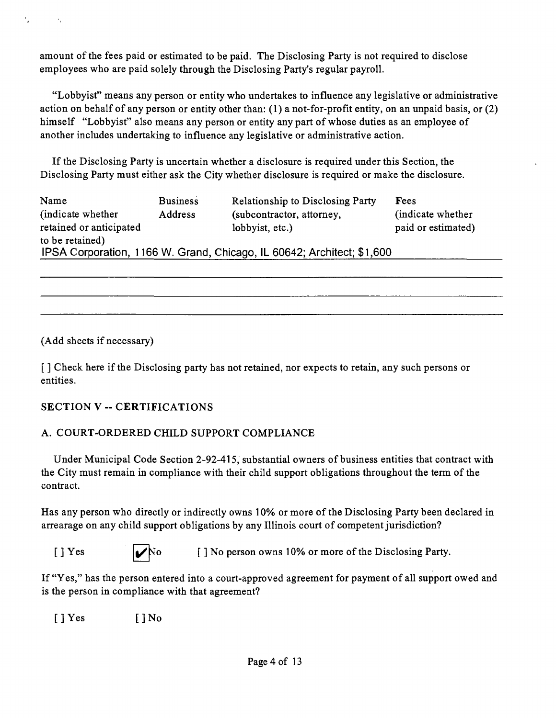amount of the fees paid or estimated to be paid. The Disclosing Party is not required to disclose employees who are paid solely through the Disclosing Party's regular payroll.

"Lobbyist" means any person or entity who undertakes to influence any legislative or administrative action on behalf of any person or entity other than: (1) a not-for-profit entity, on an unpaid basis, or (2) himself "Lobbyist" also means any person or entity any part of whose duties as an employee of another includes undertaking to influence any legislative or administrative action.

If the Disclosing Party is uncertain whether a disclosure is required under this Section, the Disclosing Party must either ask the City whether disclosure is required or make the disclosure.

| Name                    | <b>Business</b> | <b>Relationship to Disclosing Party</b>                                | Fees               |
|-------------------------|-----------------|------------------------------------------------------------------------|--------------------|
| (indicate whether)      | Address         | (subcontractor, attorney,                                              | (indicate whether) |
| retained or anticipated |                 | lobbyist, etc.)                                                        | paid or estimated) |
| to be retained)         |                 |                                                                        |                    |
|                         |                 | IPSA Corporation, 1166 W. Grand, Chicago, IL 60642; Architect; \$1,600 |                    |

(Add sheets if necessary)

 $\mathcal{A}_1$ 

[] Check here if the Disclosing party has not retained, nor expects to retain, any such persons or entities.

## **SECTION V - CERTIFICATIONS**

## A. COURT-ORDERED CHILD SUPPORT COMPLIANCE

Under Municipal Code Section 2-92-415, substantial owners of business entities that contract with the City must remain in compliance with their child support obligations throughout the term of the contract.

Has any person who directly or indirectly owns 10% or more of the Disclosing Party been declared in arrearage on any child support obligations by any Illinois court of competent jurisdiction?

|--|--|--|--|

[ ] Yes  $\bigvee$ No [ ] No person owns 10% or more of the Disclosing Party.

If "Yes," has the person entered into a court-approved agreement for payment of all support owed and is the person in compliance with that agreement?

 $[ ]$  Yes  $[ ]$  No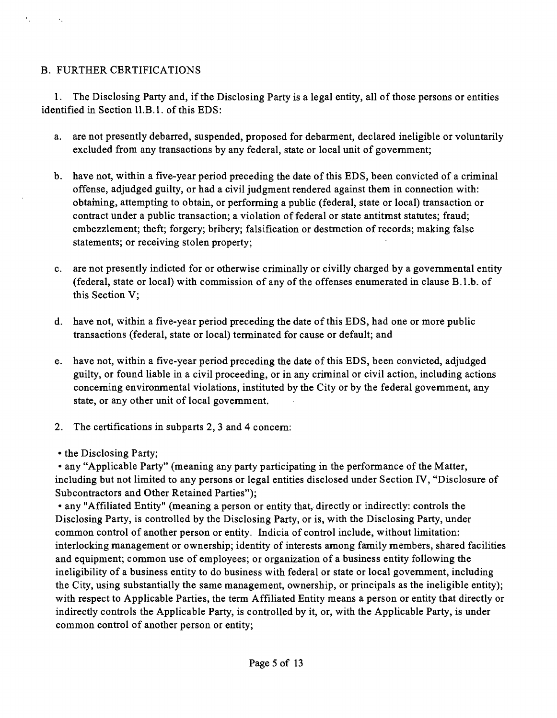## B. FURTHER CERTIFICATIONS

 $\mathcal{F}_{\mu\nu}$ 

 $\mathcal{A}_1$ 

1. The Disclosing Party and, if the Disclosing Party is a legal entity, all of those persons or entities identified in Section 11.B.1. of this EDS:

- a. are not presently debarred, suspended, proposed for debarment, declared ineligible or voluntarily excluded from any transactions by any federal, state or local unit of govemment;
- b. have not, within a five-year period preceding the date of this EDS, been convicted of a criminal offense, adjudged guilty, or had a civil judgment rendered against them in connection with: obtaming, attempting to obtain, or performing a public (federal, state or local) transaction or contract under a public transaction; a violation of federal or state antitmst statutes; fraud; embezzlement; theft; forgery; bribery; falsification or destmction of records; making false statements; or receiving stolen property;
- c. are not presently indicted for or otherwise criminally or civilly charged by a govemmental entity (federal, state or local) with commission of any of the offenses enumerated in clause B.l.b. of this Section V;
- d. have not, within a five-year period preceding the date of this EDS, had one or more public transactions (federal, state or local) terminated for cause or default; and
- e. have not, within a five-year period preceding the date of this EDS, been convicted, adjudged guilty, or found liable in a civil proceeding, or in any criminal or civil action, including actions conceming environmental violations, instituted by the City or by the federal govemment, any state, or any other unit of local govemment.
- 2. The certifications in subparts 2, 3 and 4 concem:
- the Disclosing Party;

• any "Applicable Party" (meaning any party participating in the performance of the Matter, including but not limited to any persons or legal entities disclosed under Section IV, "Disclosure of Subcontractors and Other Retained Parties");

• any "Affiliated Entity" (meaning a person or entity that, directly or indirectly: controls the Disclosing Party, is controlled by the Disclosing Party, or is, with the Disclosing Party, under common control of another person or entity. Indicia of control include, without limitation: interlocking management or ownership; identity of interests among family members, shared facilities and equipment; common use of employees; or organization of a business entity following the ineligibility of a business entity to do business with federal or state or local govemment, including the City, using substantially the same management, ownership, or principals as the ineligible entity); with respect to Applicable Parties, the term Affiliated Entity means a person or entity that directly or indirectly controls the Applicable Party, is controlled by it, or, with the Applicable Party, is under common control of another person or entity;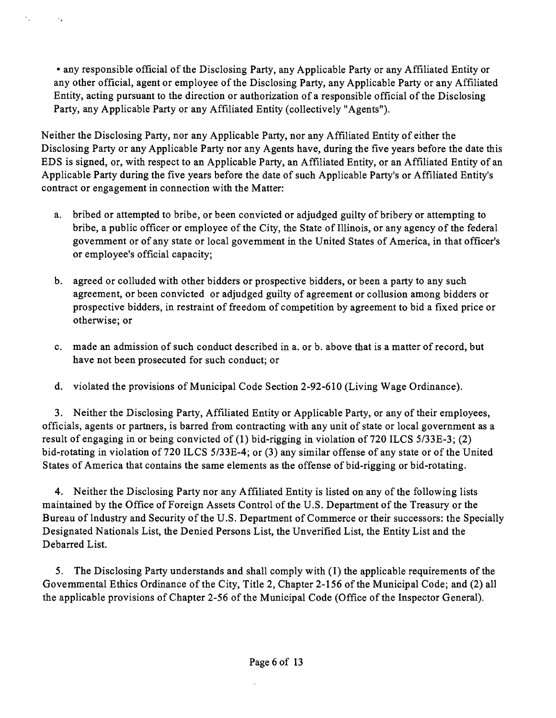• any responsible official of the Disclosing Party, any Applicable Party or any Affiliated Entity or any other official, agent or employee of the Disclosing Party, any Applicable Party or any Affiliated Entity, acting pursuant to the direction or authorization of a responsible official ofthe Disclosing Party, any Applicable Party or any Affiliated Entity (collectively "Agents").

 $\epsilon_{\rm{in}}$ 

 $\rightarrow$ 

Neither the Disclosing Party, nor any Applicable Party, nor any Affiliated Entity of either the Disclosing Party or any Applicable Party nor any Agents have, during the five years before the date this EDS is signed, or, with respect to an Applicable Party, an Affiliated Entity, or an Affiliated Entity of an Applicable Party during the five years before the date of such Applicable Party's or Affiliated Entity's contract or engagement in connection with the Matter:

- a. bribed or attempted to bribe, or been convicted or adjudged guilty of bribery or attempting to bribe, a public officer or employee of the City, the State of Illinois, or any agency of the federal govemment or of any state or local govemment in the United States of America, in that officer's or employee's official capacity;
- b. agreed or colluded with other bidders or prospective bidders, or been a party to any such agreement, or been convicted or adjudged guilty of agreement or collusion among bidders or prospective bidders, in restraint of freedom of competition by agreement to bid a fixed price or otherwise; or
- c. made an admission of such conduct described in a. or b. above that is a matter of record, but have not been prosecuted for such conduct; or
- d. violated the provisions of Municipal Code Section 2-92-610 (Living Wage Ordinance).

3. Neither the Disclosing Party, Affiliated Entity or Applicable Party, or any of their employees, officials, agents or partners, is barred from contracting with any unit of state or local government as a result of engaging in or being convicted of (1) bid-rigging in violation of 720 ILCS 5/33E-3; (2) bid-rotating in violation of 720 ILCS 5/33E-4; or (3) any similar offense of any state or of the United States of America that contains the same elements as the offense of bid-rigging or bid-rotating.

4. Neither the Disclosing Party nor any Affiliated Entity is listed on any of the following lists maintained by the Office of Foreign Assets Control of the U.S. Department of the Treasury or the Bureau of lndustry and Security of the U.S. Department of Commerce or their successors: the Specially Designated Nationals List, the Denied Persons List, the Unverified List, the Entity List and the Debarred List.

5. The Disclosing Party understands and shall comply with (I) the applicable requirements of the Govemmental Ethics Ordinance of the City, Title 2, Chapter 2-156 of the Municipal Code; and (2) all the applicable provisions of Chapter 2-56 of the Municipal Code (Office of the Inspector General).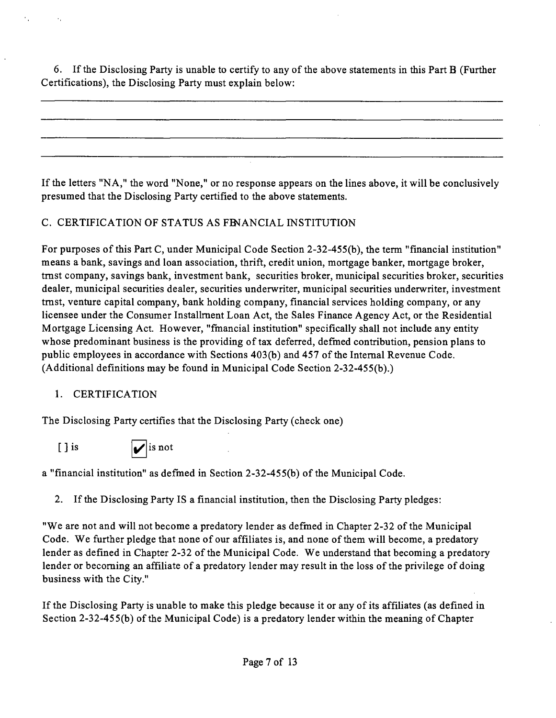6. If the Disclosing Party is unable to certify to any of the above statements in this Part B (Further Certifications), the Disclosing Party must explain below:

If the letters "NA," the word "None," or no response appears on the lines above, it will be conclusively presumed that the Disclosing Party certified to the above statements.

## C. CERTIFICATION OF STATUS AS FENANCIAL INSTITUTION

For purposes ofthis Part C, under Municipal Code Section 2-32-455(b), the term "financial institution" means a bank, savings and loan association, thrift, credit union, mortgage banker, mortgage broker, tmst company, savings bank, investment bank, securities broker, municipal securities broker, securities dealer, municipal securities dealer, securities underwriter, municipal securities underwriter, investment tmst, venture capital company, bank holding company, financial services holding company, or any licensee under the Consumer Installment Loan Act, the Sales Finance Agency Act, or the Residential Mortgage Licensing Act. However, "fmancial institution" specifically shall not include any entity whose predominant business is the providing of tax deferred, defmed contribution, pension plans to public employees in accordance with Sections 403(b) and 457 of the Intemal Revenue Code. (Additional definitions may be found in Municipal Code Section 2-32-455(b).)

## 1. CERTIFICATION

The Disclosing Party certifies that the Disclosing Party (check one)

[ ] is  $\boxed{\phantom{0}}$  is not

a "financial institution" as defmed in Section 2-32-455(b) of the Municipal Code.

2. If the Disclosing Party IS a financial institution, then the Disclosing Party pledges:

"We are not and will not become a predatory lender as defmed in Chapter 2-32 of the Municipal Code. We further pledge that none of our affiliates is, and none of them will become, a predatory lender as defined in Chapter 2-32 of the Municipal Code. We understand that becoming a predatory lender or becoming an affiliate of a predatory lender may result in the loss of the privilege of doing business with the City."

If the Disclosing Party is unable to make this pledge because it or any of its affiliates (as defined in Section 2-32-45 5(b) of the Municipal Code) is a predatory lender within the meaning of Chapter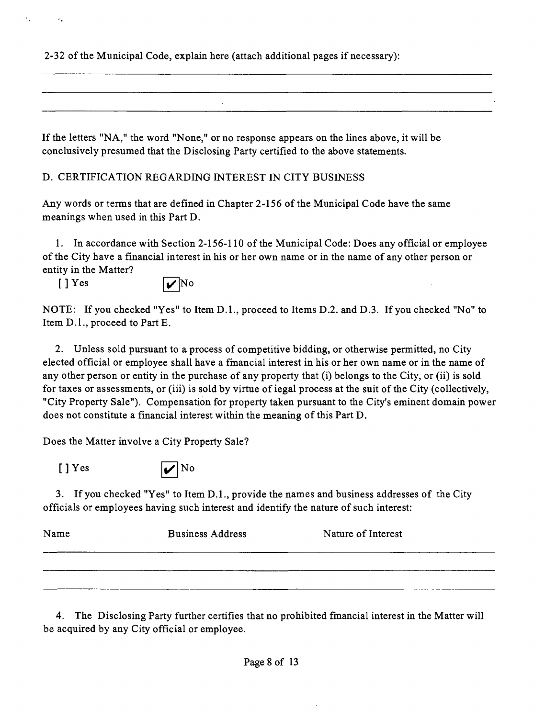2-32 ofthe Municipal Code, explain here (attach additional pages if necessary):

If the letters "NA," the word "None," or no response appears on the lines above, it will be conclusively presumed that the Disclosing Party certified to the above statements.

D. CERTIFICATION REGARDING INTEREST IN CITY BUSINESS

Any words or terms that are defined in Chapter 2-156 of the Municipal Code have the same meanings when used in this Part D.

1. In accordance with Section 2-156-110 of the Municipal Code: Does any official or employee of the City have a financial interest in his or her own name or in the name of any other person or entity in the Matter?

 $[$  ] Yes  $| \mathbf{v} |$ No

 $\mathcal{F}_\bullet$ 

NOTE: If you checked "Yes" to Item D.L, proceed to Items D.2. and D.3. If you checked "No" to Item D.l., proceed to Part E.

2. Unless sold pursuant to a process of competitive bidding, or otherwise permitted, no City elected official or employee shall have a fmancial interest in his or her own name or in the name of any other person or entity in the purchase of any property that (i) belongs to the City, or (ii) is sold for taxes or assessments, or (iii) is sold by virtue of iegal process at the suit of the City (collectively, "City Property Sale"). Compensation for property taken pursuant to the City's eminent domain power does not constitute a financial interest within the meaning of this Part D.

Does the Matter involve a City Property Sale?



3. If you checked "Yes" to Item D.L, provide the names and business addresses of the City officials or employees having such interest and identify the nature of such interest:

| Name | <b>Business Address</b> | Nature of Interest |
|------|-------------------------|--------------------|
|      |                         |                    |
|      |                         |                    |

4. The Disclosing Party further certifies that no prohibited fmancial interest in the Matter will be acquired by any City official or employee.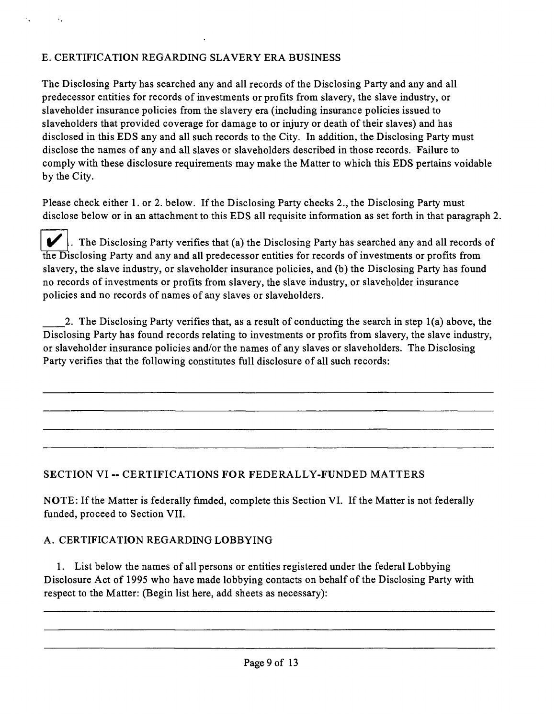## E. CERTIFICATION REGARDING SLAVERY ERA BUSINESS

The Disclosing Party has searched any and all records of the Disclosing Party and any and all predecessor entities for records of investments or profits from slavery, the slave industry, or slaveholder insurance policies from the slavery era (including insurance policies issued to slaveholders that provided coverage for damage to or injury or death of their slaves) and has disclosed in this EDS any and all such records to the City. In addition, the Disclosing Party must disclose the names of any and all slaves or slaveholders described in those records. Failure to comply with these disclosure requirements may make the Matter to which this EDS pertains voidable by the City.

Please check either 1. or 2. below. If the Disclosing Party checks 2., the Disclosing Party must disclose below or in an attachment to this EDS all requisite information as set forth in that paragraph 2.

 $\blacktriangleright$ . The Disclosing Party verifies that (a) the Disclosing Party has searched any and all records of the Disclosing Party and any and all predecessor entities for records of investments or profits from slavery, the slave industry, or slaveholder insurance policies, and (b) the Disclosing Party has found no records of investments or profits from slavery, the slave industry, or slaveholder insurance policies and no records of names of any slaves or slaveholders.

2. The Disclosing Party verifies that, as a result of conducting the search in step 1(a) above, the Disclosing Party has found records relating to investments or profits from slavery, the slave industry, or slaveholder insurance policies and/or the names of any slaves or slaveholders. The Disclosing Party verifies that the following constitutes full disclosure of all such records:

## **SECTION VI -- CERTIFICATIONS FOR FEDERALLY-FUNDED MATTERS**

NOTE: If the Matter is federally fimded, complete this Section VI. If the Matter is not federally funded, proceed to Section VII.

## A. CERTIFICATION REGARDING LOBBYING

1. List below the names of all persons or entities registered under the federal Lobbying Disclosure Act of 1995 who have made lobbying contacts on behalf of the Disclosing Party with respect to the Matter: (Begin list here, add sheets as necessary):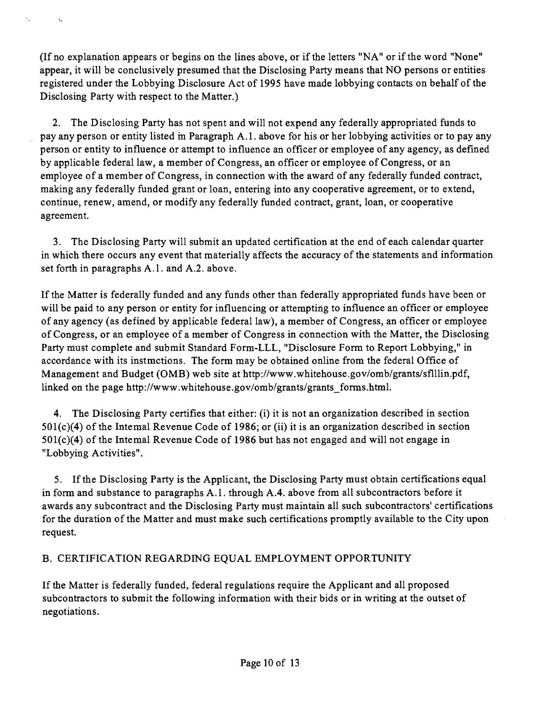(If no explanation appears or begins on the lines above, or if the letters "NA" or if the word "None" appear, it will be conclusively presumed that the Disclosing Party means that NO persons or entities registered under the Lobbying Disclosure Act of 1995 have made lobbying contacts on behalf of the Disclosing Party with respect to the Matter.)

k,

 $\mathcal{A}_\bullet$ 

2. The Disclosing Party has not spent and will not expend any federally appropriated funds to pay any person or entity listed m Paragraph A. 1. above for his or her lobbying activities or to pay any person or entity to influence or attempt to influence an officer or employee of any agency, as defined by applicable federal law, a member of Congress, an officer or employee of Congress, or an employee of a member of Congress, in connection with the award of any federally funded contract, making any federally funded grant or loan, entering into any cooperative agreement, or to extend, continue, renew, amend, or modify any federally funded contract, grant, loan, or cooperative agreement.

3. The Disclosing Party will submit an updated certification at the end of each calendar quarter in which there occurs any event that materially affects the accuracy of the statements and information set forth in paragraphs A.1. and A.2. above.

If the Matter is federally funded and any funds other than federally appropriated funds have been or will be paid to any person or entity for influencing or attempting to influence an officer or employee of any agency (as defined by applicable federal law), a member of Congress, an officer or employee of Congress, or an employee of a member of Congress in connection with the Matter, the Disclosing Party must complete and submit Standard Form-LLL, "Disclosure Form to Report Lobbying," in accordance with its instmctions. The form may be obtained online from the federal Office of Management and Budget (OMB) web site at http://www.whitehouse.gov/omb/grants/sflllin.pdf, linked on the page http://www.whitehouse.gov/omb/grants/grants forms.html.

4. The Disclosing Party certifies that either: (i) it is not an organization described in section 501(c)(4) of the Intemal Revenue Code of 1986; or (ii) it is an organization described in section 501(c)(4) of the Intemal Revenue Code of 1986 but has not engaged and will not engage in "Lobbying Activities".

5. If the Disclosing Party is the Applicant, the Disclosing Party must obtain certifications equal in form and substance to paragraphs A.l . through A.4. above from all subcontractors before it awards any subcontract and the Disclosing Party must maintain all such subcontractors' certifications for the duration of the Matter and must make such certifications promptly available to the City upon request.

## B. CERTIFICATION REGARDING EQUAL EMPLOYMENT OPPORTUNITY

If the Matter is federally funded, federal regulations require the Applicant and all proposed subcontractors to submit the following information with their bids or in writing at the outset of negotiations.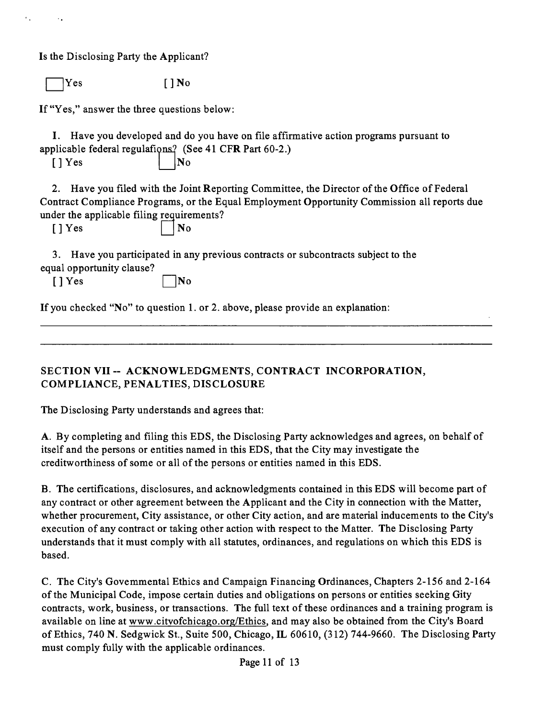Is the Disclosing Party the Applicant?

 $Yes$   $[ ] No$ 

If "Yes," answer the three questions below:

I. Have you developed and do you have on file affirmative action programs pursuant to applicable federal regulations? (See 41 CFR Part 60-2.)

 $[$  | Yes  $|$  | No

2. Have you filed with the Joint Reporting Committee, the Director of the Office of Federal Contract Compliance Programs, or the Equal Employment Opportunity Commission all reports due under the applicable filing requirements?

[] Yes

• NO

3. Have you participated in any previous contracts or subcontracts subject to the equal opportunity clause?

 $[$  |  $]$  Yes  $]$  | |No

If you checked "No" to question 1. or 2. above, please provide an explanation:

**SECTION VII ~ ACKNOWLEDGMENTS, CONTRACT INCORPORATION, COMPLIANCE, PENALTIES, DISCLOSURE** 

The Disclosing Party understands and agrees that:

A. By completing and filing this EDS, the Disclosing Party acknowledges and agrees, on behalf of itself and the persons or entities named in this EDS, that the City may investigate the creditworthiness of some or all of the persons or entities named in this EDS.

B. The certifications, disclosures, and acknowledgments contained in this EDS will become part of any contract or other agreement between the Applicant and the City in connection with the Matter, whether procurement. City assistance, or other City action, and are material inducements to the City's execution of any contract or taking other action with respect to the Matter. The Disclosing Party understands that it must comply with all statutes, ordinances, and regulations on which this EDS is based.

C. The City's Govemmental Ethics and Campaign Financing Ordinances, Chapters 2-156 and 2-164 ofthe Municipal Code, impose certain duties and obligations on persons or entities seeking Gity contracts, work, business, or transactions. The full text of these ordinances and a training program is available on line at www.citvofchicago.org/Ethics, and may also be obtained from the City's Board of Ethics, 740 N. Sedgwick SL, Suite 500, Chicago, IL 60610, (312) 744-9660. The Disclosing Party must comply fully with the applicable ordinances.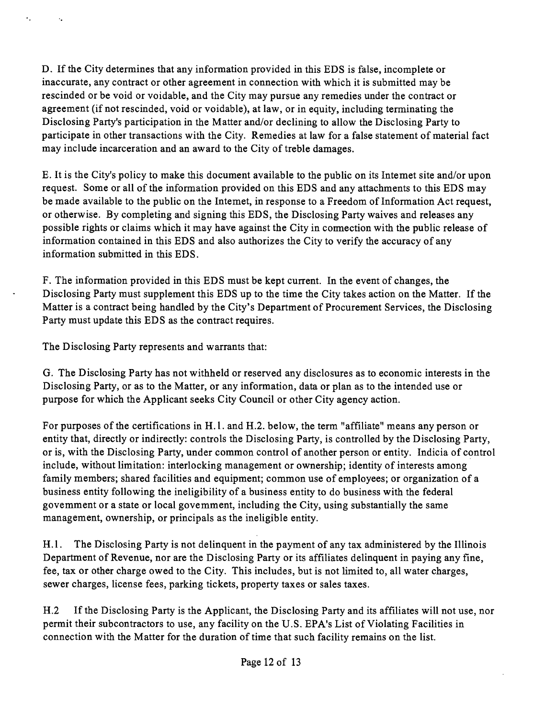D. If the City determines that any information provided in this EDS is false, incomplete or inaccurate, any contract or other agreement in connection with which it is submitted may be rescinded or be void or voidable, and the City may pursue any remedies under the contract or agreement (if not rescinded, void or voidable), at law, or in equity, including terminating the Disclosing Party's participation in the Matter and/or declining to allow the Disclosing Party to participate in other transactions with the City. Remedies at law for a false statement of material fact may include incarceration and an award to the City of treble damages.

E. It is the City's policy to make this document available to the public on its Intemet site and/or upon request. Some or all of the information provided on this EDS and any attachments to this EDS may be made available to the public on the Intemet, in response to a Freedom of Information Act request, or otherwise. By completing and signing this EDS, the Disclosing Party waives and releases any possible rights or claims which it may have against the City in connection with the public release of information contained in this EDS and also authorizes the City to verify the accuracy of any information submitted in this EDS.

F. The information provided in this EDS must be kept current. In the event of changes, the Disclosing Party must supplement this EDS up to the time the City takes action on the Matter. If the Matter is a contract being handled by the City's Department of Procurement Services, the Disclosing Party must update this EDS as the contract requires.

The Disclosing Party represents and warrants that:

 $\epsilon_{\rm{in}}$ 

G. The Disclosing Party has not withheld or reserved any disclosures as to economic interests in the Disclosing Party, or as to the Matter, or any information, data or plan as to the intended use or purpose for which the Applicant seeks City Council or other City agency action.

For purposes of the certifications in H.l . and H.2. below, the term "affiliate" means any person or entity that, directly or indirectly: controls the Disclosing Party, is controlled by the Disclosing Party, or is, with the Disclosing Party, under common control of another person or entity. Indicia of control include, without limitation: interlocking management or ownership; identity of interests among family members; shared facilities and equipment; common use of employees; or organization of a business entity following the ineligibility of a business entity to do business with the federal govemment or a state or local govemment, including the City, using substantially the same management, ownership, or principals as the ineligible entity.

H.1. The Disclosing Party is not delinquent in the payment of any tax administered by the Illinois Department of Revenue, nor are the Disclosing Party or its affiliates delinquent in paying any fine, fee, tax or other charge owed to the City. This includes, but is not limited to, all water charges, sewer charges, license fees, parking tickets, property taxes or sales taxes.

H.2 If the Disclosing Party is the Applicant, the Disclosing Party and its affiliates will not use, nor permit their subcontractors to use, any facility on the U.S. EPA's List of Violating Facilities in connection with the Matter for the duration of time that such facility remains on the list.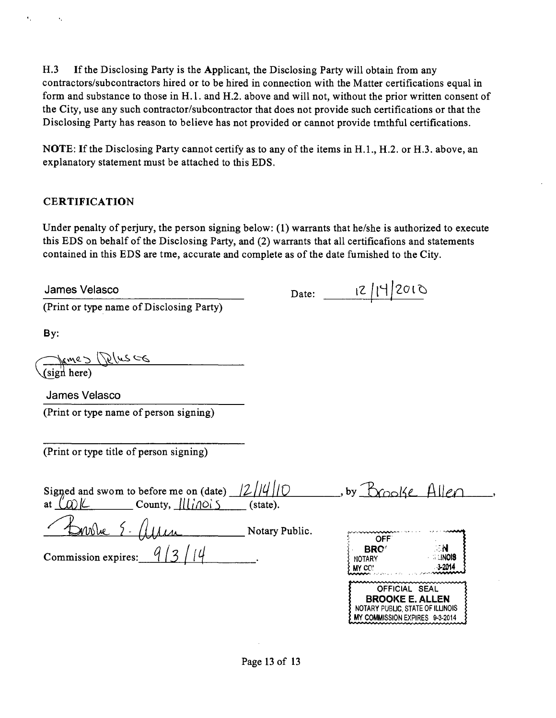H.3 If the Disclosing Party is the Applicant, the Disclosing Party will obtain from any contractors/subcontractors hired or to be hired in connection with the Matter certifications equal in form and substance to those in H.l . and H.2. above and will not, without the prior written consent of the City, use any such contractor/subcontractor that does not provide such certifications or that the Disclosing Party has reason to believe has not provided or cannot provide tmthful certifications.

NOTE: If the Disclosing Party cannot certify as to any of the items in H.1., H.2. or H.3. above, an explanatory statement must be attached to this EDS.

## **CERTIFICATION**

Under penalty of perjury, the person signing below: (1) warrants that he/she is authorized to execute this EDS on behalf of the Disclosing Party, and (2) warrants that all certificafions and statements contained in this EDS are tme, accurate and complete as of the date fumished to the City.

Date: 12/14/2010

MY COMMISSION EXPIRES 9-3-2014

James Velasco

(Print or type name of Disclosing Party)

By:

Sign here)

James Velasco

(Print or iype name of person signing)

(Print or type title of person signing)

| Signed and swom to before me on (date)<br>County, $\text{III}$ $\partial$<br>at | state).        | $b$ v                                                                                                        |                                      |
|---------------------------------------------------------------------------------|----------------|--------------------------------------------------------------------------------------------------------------|--------------------------------------|
| 2010She                                                                         | Notary Public. | OFF                                                                                                          |                                      |
| Commission expires:                                                             |                | <b>BRO</b><br>NOTARY<br>MY CO!                                                                               | ∴ N<br><b>A LINOIS</b><br>$3 - 2014$ |
|                                                                                 |                | ~~~~~~~~~~~~~~~~~~~~~~~~~~~~~<br>OFFICIAL SEAL<br><b>BROOKE E. ALLEN</b><br>NOTARY PUBLIC, STATE OF ILLINOIS |                                      |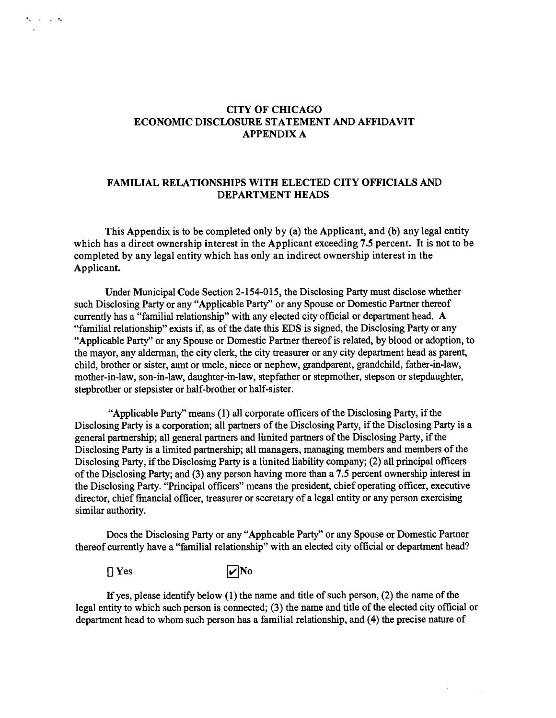#### **CITY OF CHICAGO ECONOMIC DISCLOSURE STATEMENT AND AFFIDAVIT APPENDIX A**

#### **FAMILIAL RELATIONSHIPS WITH ELECTED CITY OFFICIALS AND DEPARTMENT HEADS**

**This Appendix is to be completed only by (a) the Applicant, and (b) any legal entity which has a direct ownership interest in the Applicant exceeding 7.5 percent. It is not to be completed by any legal entity which has only an indirect ownership interest in the**  Applicant.

Under Municipal Code Section 2-154-015, the Disclosing Party must disclose whether such Disclosing Party or any "Applicable Party" or any Spouse or Domestic Partner thereof currently has a "familial relationship" with any elected city official or department head. A "familial relationship" exists if, as of the date this EDS is signed, the Disclosing Party or any "Applicable Party" or any Spouse or Domestic Partner thereof is related, by blood or adoption, to the mayor, any alderman, the city clerk, the city treasurer or any city department head as parent, child, brother or sister, aimt or tmcle, niece or nephew, grandparent, grandchild, father-in-law, mother-in-law, son-in-law, daughter-m-law, stepfather or stepmother, stepson or stepdaughter, stepbrother or stepsister or half-brother or half-sister.

"Applicable Party" means (1) all corporate officers of the Disclosing Party, if the Disclosing Party is a corporation; all partners of the Disclosing Party, if the Disclosing Party is a general partnership; all general partners and lunited partners of the Disclosing Party, if the Disclosing Party is a limited partnership; all managers, managing members and members of the Disclosing Party, if the Disclosmg Party is a lunited liability company; (2) all principal officers of the Disclosing Party; and (3) any person having more than a 7.5 percent ownership interest in the Disclosing Party. "Principal officers" means the president, chief operating officer, executive director, chief fmancial officer, treasurer or secretary of a legal entity or any person exercismg similar authority.

Does the Disclosing Party or any "Apphcable Party" or any Spouse or Domestic Partner thereof currently have a "familial relationship" with an elected city official or department head?

 $\sqrt{\phantom{a}}$  Yes  $\sqrt{\phantom{a}}$  No

**Contractor** 

If yes, please identify below  $(1)$  the name and title of such person,  $(2)$  the name of the legal entity to which such person is connected; (3) the name and title of the elected city official or department head to whom such person has a familial relationship, and (4) the precise nature of

 $\sim$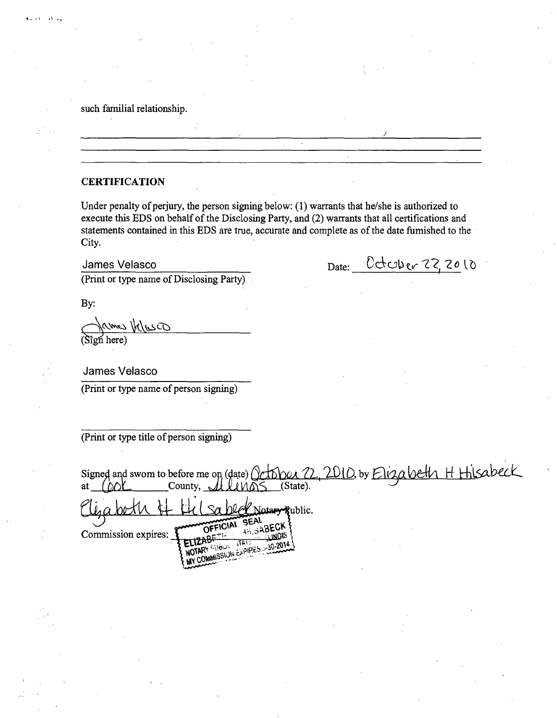#### such familial relationship.

#### **CERTIFICATION**

Under penalty of perjury, the person signing below: (1) warrants that he/she is authorized to execute this EDS on behalf of the Disclosing Party, and (2) warrants that all certifications and statements contained in this EDS are true, accurate and complete as of the date fumished to the City.

James Velasco Date: <del>October 22, 20</del> to

(Print or type name of Disclosing Party)

By:

 $\Lambda$ .

(Sign here)

James Velasco

(Print or type name of person signing)

(Print or type title of person signing)

| Signed and swom to before me on (date) October 22, 2010, by Elizabeth H Hisabeck<br>(State).<br>County, $\sim$<br>at                      |
|-------------------------------------------------------------------------------------------------------------------------------------------|
| Notary Rublic.<br>OFFICIAL SEAL<br><b>AN SABECK F</b><br>Commission expires:<br><b>LUNOIS</b><br>ामि ।<br>WY COMMISSION EAPIPES 30-2014 } |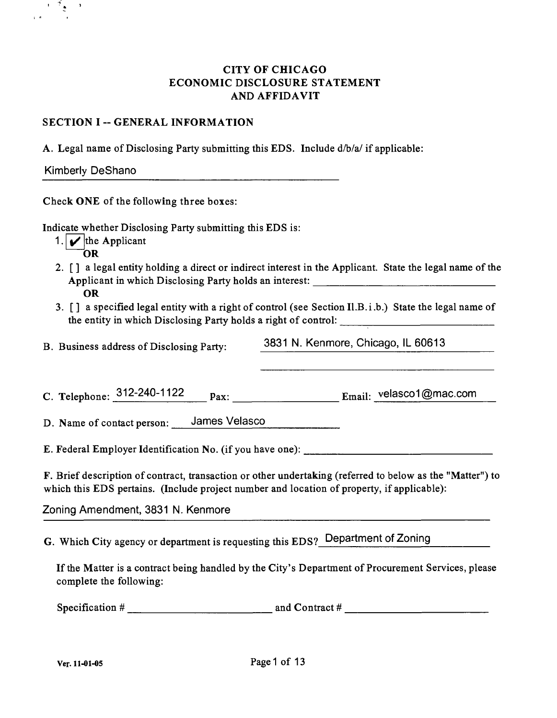## CITY OF CHICAGO ECONOMIC DISCLOSURE STATEMENT AND AFFIDAVIT

#### **SECTION I -- GENERAL INFORMATION**

A. Legal name of Disclosing Party submitting this EDS. Include d/b/a/ if applicable:

 $\frac{1}{2}$ 

 $\rightarrow$ 

Check ONE of the following three boxes:

Indicate whether Disclosing Party submitting this EDS is:

- 1.  $\sqrt{\ }$  the Applicant
	- OR
- 2. [] a legal entity holding a direct or indirect interest in the Applicant. State the legal name of the Applicant in which Disclosing Party holds an interest: OR
- 3. [] a specified legal entity with a right of control (see Section Il.B.i.b.) State the legal name of the entity in which Disclosing Party holds a right of control:

B. Business address of Disclosing Party: 3831 N. Kenmore, Chicago, IL 60613

C. Telephone:  $312-240-1122$  pax: Email: velasco1@mac.com

D. Name of contact person: James Velasco

E. Federal Employer Identification No. (if you have one):

F. Brief description of contract, transaction or other undertaking (referred to below as the "Matter") to which this EDS pertains. (Include project number and location of property, if applicable):

Zoning Amendment, 3831 N. Kenmore

G. Which City agency or department is requesting this EDS? Department of Zoning

If the Matter is a contract being handled by the City's Department of Procurement Services, please complete the following:

Specification # and Contract #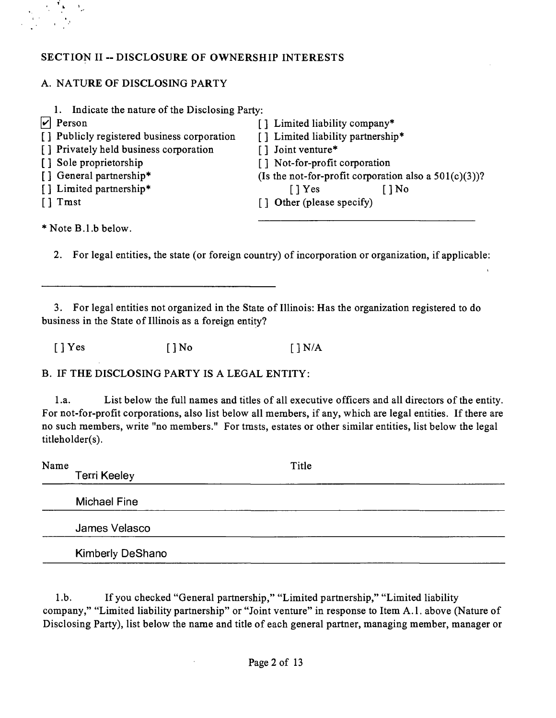## **SECTION II - DISCLOSURE OF OWNERSHIP INTERESTS**

## A. NATURE OF DISCLOSING PARTY

| Indicate the nature of the Disclosing Party: |                                                          |
|----------------------------------------------|----------------------------------------------------------|
| $ v $ Person                                 | [] Limited liability company*                            |
| [] Publicly registered business corporation  | [] Limited liability partnership*                        |
| [] Privately held business corporation       | [] Joint venture*                                        |
| [] Sole proprietorship                       | [] Not-for-profit corporation                            |
| [] General partnership*                      | (Is the not-for-profit corporation also a $501(c)(3)$ )? |
| [] Limited partnership*                      | $\lceil \cdot \rceil$ Yes<br>$\bigcap$ No                |
| $\lceil \cdot \rceil$ Tmst                   | [] Other (please specify)                                |
|                                              |                                                          |

\* Note B.1.b below.

2. For legal entities, the state (or foreign country) of incorporation or organization, if applicable:

3. For legal entities not organized in the State of Illinois: Has the organization registered to do business in the State of Illinois as a foreign entity?

 $[\ ]$  Yes  $[\ ]$  No  $[\ ]$  N/A

B. IF THE DISCLOSING PARTY IS A LEGAL ENTITY:

1 .a. List below the fuU names and titles of all executive officers and all directors of the entity. For not-for-profit corporations, also list below all members, if any, which are legal entities. If there are no such members, write "no members." For tmsts, estates or other similar entities, list below the legal titleholder(s).

| Name | <b>Terri Keeley</b>     | Title |  |
|------|-------------------------|-------|--|
|      | <b>Michael Fine</b>     |       |  |
|      | James Velasco           |       |  |
|      | <b>Kimberly DeShano</b> |       |  |

1 .b. If you checked "General partnership," "Limited partnership," "Limited liability company," "Limited liability partnership" or "Joint venture" in response to Item A.l . above (Nature of Disclosing Party), list below the name and title of each general partner, managing member, manager or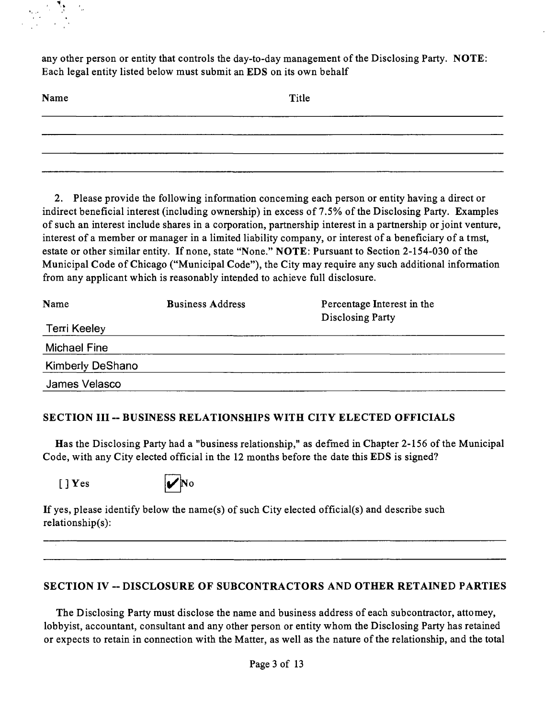any other person or entity that controls the day-to-day management ofthe Disclosing Party. NOTE: Each legal entity listed below must submit an EDS on its own behalf

| Name | Title |
|------|-------|
|      |       |
|      |       |
|      |       |

2. Please provide the following infonnation conceming each person or entity having a direct or indirect beneficial interest (including ownership) in excess of 7.5% of the Disclosing Party. Examples of such an interest include shares in a corporation, partnership interest in a partnership or joint venture, interest of a member or manager in a limited liability company, or interest of a beneficiary of a tmst, estate or other similar entity. If none, state "None." NOTE: Pursuant to Section 2-154-030 of the Municipal Code of Chicago ("Municipal Code"), the City may require any such additional information from any applicant which is reasonably intended to achieve full disclosure.

| Name                    | <b>Business Address</b> | Percentage Interest in the<br>Disclosing Party |
|-------------------------|-------------------------|------------------------------------------------|
| Terri Keeley            |                         |                                                |
| Michael Fine            |                         |                                                |
| <b>Kimberly DeShano</b> |                         |                                                |
| James Velasco           |                         |                                                |

## **SECTION III ~ BUSINESS RELATIONSHIPS WITH CITY ELECTED OFFICIALS**

Has the Disclosing Party had a "business relationship," as defined in Chapter 2-156 of the Municipal Code, with any City elected official in the 12 months before the date this EDS is signed?

 $[$  | Yes



If yes, please identify below the name(s) of such City elected official(s) and describe such relationship(s):

## **SECTION IV ~ DISCLOSURE OF SUBCONTRACTORS AND OTHER RETAINED PARTIES**

The Disclosing Party must disclose the name and business address of each subcontractor, attomey, lobbyist, accountant, consultant and any other person or entity whom the Disclosing Party has retained or expects to retain in connection with the Matter, as well as the nature of the relationship, and the total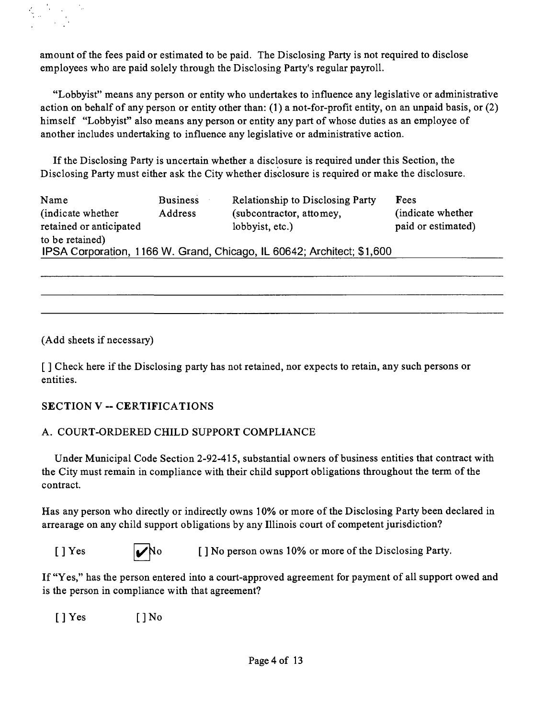amount of the fees paid or estimated to be paid. The Disclosing Party is not required to disclose employees who are paid solely through the Disclosing Party's regular payroll.

"Lobbyist" means any person or entity who undertakes to influence any legislative or administrative action on behalf of any person or entity other than: (1) a not-for-profit entity, on an unpaid basis, or (2) himself "Lobbyist" also means any person or entity any part of whose duties as an employee of another includes undertaking to influence any legislative or administrative action.

If the Disclosing Party is uncertain whether a disclosure is required under this Section, the Disclosing Party must either ask the City whether disclosure is required or make the disclosure.

| Name                                                                   | <b>Business</b> | <b>Relationship to Disclosing Party</b> | <b>Fees</b>        |
|------------------------------------------------------------------------|-----------------|-----------------------------------------|--------------------|
| (indicate whether)                                                     | Address         | (subcontractor, attomey,                | (indicate whether) |
| retained or anticipated                                                |                 | lobbyist, etc.)                         | paid or estimated) |
| to be retained)                                                        |                 |                                         |                    |
| IPSA Corporation, 1166 W. Grand, Chicago, IL 60642; Architect; \$1,600 |                 |                                         |                    |

(Add sheets if necessary)

[] Check here if the Disclosing party has not retained, nor expects to retain, any such persons or entities.

## **SECTION V -- CERTIFICATIONS**

## A. COURT-ORDERED CHILD SUPPORT COMPLIANCE

Under Municipal Code Section 2-92-415, substantial owners of business entities that contract with the City must remain in compliance with their child support obligations throughout the term of the contract.

Has any person who directly or indirectly owns 10% or more of the Disclosing Party been declared in arrearage on any child support obligations by any Illinois court of competent jurisdiction?

|--|--|

[ ] Yes  $\bigvee$ No [ ] No person owns 10% or more of the Disclosing Party.

If "Yes," has the person entered into a court-approved agreement for payment of all support owed and is the person in compliance with that agreement?

 $[ ]$  Yes  $[ ]$  No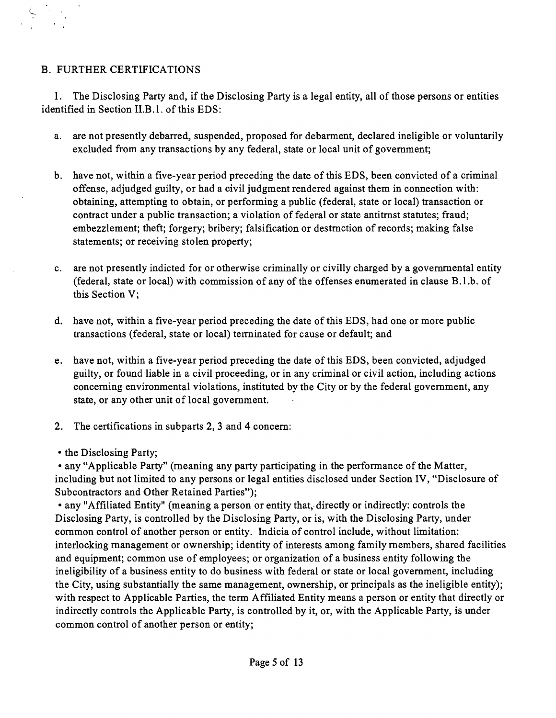## B. FURTHER CERTIFICATIONS

1. The Disclosing Party and, if the Disclosing Party is a legal entity, all of those persons or entities identified in Section II.B.1. of this EDS:

- a. are not presently debarred, suspended, proposed for debarment, declared ineligible or voluntarily excluded from any transactions by any federal, state or local unit of govemment;
- b. have not, within a five-year period preceding the date of this EDS, been convicted of a criminal offense, adjudged guilty, or had a civil judgment rendered against them in connection with: obtaining, attempting to obtain, or performing a public (federal, state or local) transaction or contract under a public transaction; a violation of federal or state antitmst statutes; fraud; embezzlement; theft; forgery; bribery; falsification or destmction of records; making false statements; or receiving stolen property;
- c. are not presently indicted for or otherwise criminally or civilly charged by a govemmental entity (federal, state or local) with commission of any of the offenses enumerated in clause B.l.b. of this Section V;
- d. have not, within a five-year period preceding the date of this EDS, had one or more public transactions (federal, state or local) terminated for cause or default; and
- e. have not, within a five-year period preceding the date of this EDS, been convicted, adjudged guilty, or found liable in a civil proceeding, or in any criminal or civil action, including actions conceming environmental violations, instituted by the City or by the federal govemment, any state, or any other unit of local govemment.
- 2. The certifications in subparts 2, 3 and 4 concem:
- the Disclosing Party;

• any "Applicable Party" (meaning any party participating in the performance of the Matter, including but not limited to any persons or legal entities disclosed under Section IV, "Disclosure of Subcontractors and Other Retained Parties");

• any "Affiliated Entity" (meaning a person or entity that, directly or indirectly: controls the Disclosing Party, is controlled by the Disclosing Party, or is, with the Disclosing Party, under common control of another person or entity. Indicia of control include, without limitation: interlocking management or ownership; identity of interests among family members, shared facilities and equipment; common use of employees; or organization of a business entity following the ineligibility of a business entity to do business with federal or state or local govemment, including the City, using substantially the same management, ownership, or principals as the ineligible entity); with respect to Applicable Parties, the term Affiliated Entity means a person or entity that directly or indirectly controls the Applicable Party, is controlled by it, or, with the Applicable Party, is under common control of another person or entity;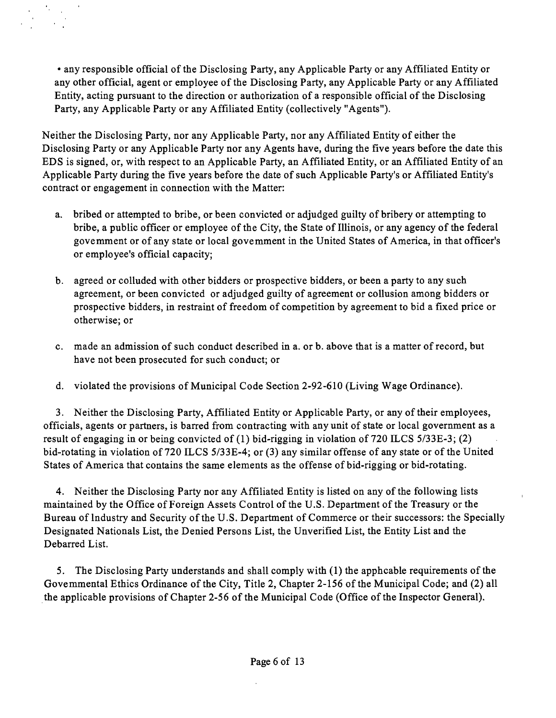• any responsible official of the Disclosing Party, any Applicable Party or any Affiliated Entity or any other official, agent or employee of the Disclosing Party, any Applicable Party or any Affiliated Entity, acting pursuant to the direction or authorization of a responsible official ofthe Disclosing Party, any Applicable Party or any Affiliated Entity (collectively "Agents").

Neither the Disclosing Party, nor any Applicable Party, nor any Affiliated Entity of either the Disclosing Party or any Applicable Party nor any Agents have, during the five years before the date this EDS is signed, or, with respect to an Applicable Party, an Affiliated Entity, or an Affiliated Entity of an Applicable Party during the five years before the date of such Applicable Party's or Affiliated Entity's contract or engagement in connection with the Matter:

- a. bribed or attempted to bribe, or been convicted or adjudged guilty of bribery or attempting to bribe, a public officer or employee of the City, the State of Illinois, or any agency of the federal govemment or of any state or local govemment in the United States of America, in that officer's or employee's official capacity;
- b. agreed or colluded with other bidders or prospective bidders, or been a party to any such agreement, or been convicted or adjudged guilty of agreement or collusion among bidders or prospective bidders, in restraint of freedom of competition by agreement to bid a fixed price or otherwise; or
- c. made an admission of such conduct described in a. or b. above that is a matter of record, but have not been prosecuted for such conduct; or
- d. violated the provisions of Municipal Code Section 2-92-610 (Living Wage Ordinance).

3. Neither the Disclosing Party, Affiliated Entity or Applicable Party, or any of their employees, officials, agents or partners, is barred from contracting with any unit of state or local government as a result of engaging in or being convicted of (1) bid-rigging in violation of 720 ILCS 5/33E-3; (2) bid-rotating in violation of 720 ILCS 5/33E-4; or (3) any similar offense of any state or of the United States of America that contains the same elements as the offense of bid-rigging or bid-rotating.

4. Neither the Disclosing Party nor any Affiliated Entity is listed on any of the following lists maintained by the Office of Foreign Assets Control of the U.S. Department of the Treasury or the Bureau of Industry and Security of the U.S. Department of Commerce or their successors: the Specially Designated Nationals List, the Denied Persons List, the Unverified List, the Entity List and the Debarred List.

5. The Disclosing Party understands and shall comply with (1) the apphcable requirements of the Govemmental Ethics Ordinance of the City, Title 2, Chapter 2-156 of the Municipal Code; and (2) all the applicable provisions of Chapter 2-56 of the Municipal Code (Office of the Inspector General).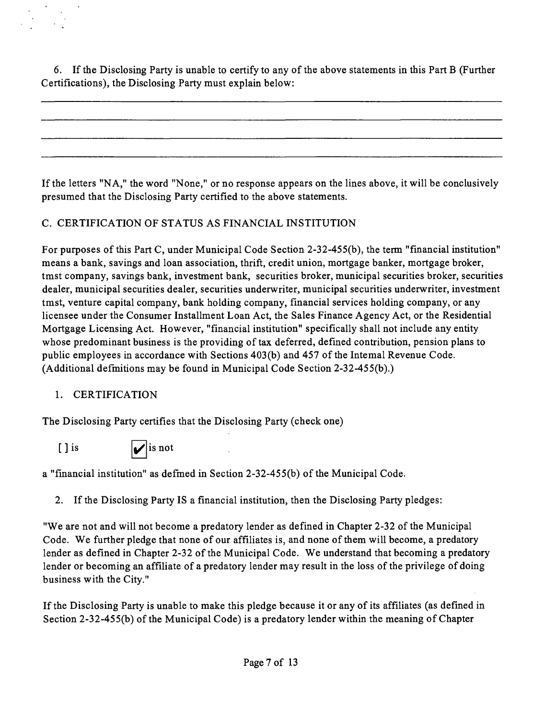6. If the Disclosing Party is unable to certify to any of the above statements in this Part B (Further Certifications), the Disclosing Party must explain below:

If the letters "NA," the word "None," or no response appears on the lines above, it will be conclusively presumed that the Disclosing Party certified to the above statements.

## C. CERTIFICATION OF STATUS AS FINANCIAL INSTITUTION

For purposes of this Part C, under Municipal Code Section 2-32-455(b), the term "financial institution" means a bank, savings and loan association, thrift, credit union, mortgage banker, mortgage broker, tmst company, savings bank, investment bank, securities broker, municipal securities broker, securities dealer, municipal securities dealer, securities underwriter, municipal securities underwriter, investment tmst, venture capital company, bank holding company, financial services holding company, or any licensee under the Consumer Installment Loan Act, the Sales Finance Agency Act, or the Residential Mortgage Licensing Act. However, "financial institution" specifically shall not include any entity whose predominant business is the providing of tax deferred, defined contribution, pension plans to public employees in accordance with Sections 403(b) and 457 of the Intemal Revenue Code. (Additional defmitions may be found in Municipal Code Section 2-32-455(b).)

## 1. CERTIFICATION

The Disclosing Party certifies that the Disclosing Party (check one)

[ ] is  $|\mathcal{V}|$  is not

a "financial institution" as defmed in Section 2-32-455(b) of the Municipal Code.

2. If the Disclosing Party IS a financial institution, then the Disclosing Party pledges:

"We are not and will not become a predatory lender as defined in Chapter 2-32 of the Municipal Code. We further pledge that none of our affiliates is, and none of them will become, a predatory lender as defined in Chapter 2-32 of the Municipal Code. We understand that becoming a predatory lender or becoming an affiliate of a predatory lender may result in the loss of the privilege of doing business with the City."

If the Disclosing Party is unable to make this pledge because it or any of its affiliates (as defined in Section 2-32-455(b) of the Municipal Code) is a predatory lender within the meaning of Chapter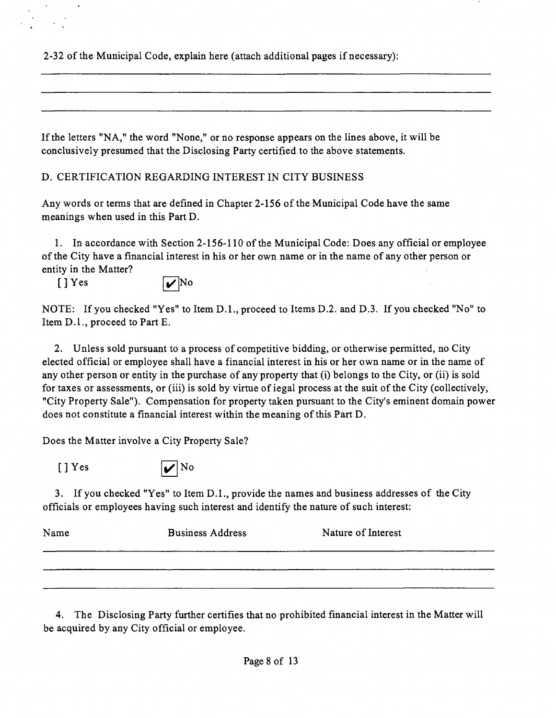2-32 ofthe Municipal Code, explain here (attach additional pages if necessary):

If the letters "NA," the word "None," or no response appears on the lines above, it will be conclusively presumed that the Disclosing Party certified to the above statements.

D. CERTIFICATION REGARDING INTEREST IN CITY BUSINESS

Any words or terms that are defined in Chapter 2-156 of the Municipal Code have the same meanings when used in this Part D.

1. In accordance with Section 2-156-110 ofthe Municipal Code: Does any official or employee of the City have a financial interest in his or her own name or in the name of any other person or entity in the Matter?

 $[\] Yes$   $\qquad \qquad$  No

NOTE: If you checked "Yes" to Item D.L, proceed to Items D.2. and D.3. If you checked "No" to Item D.l. , proceed to Part E.

2. Unless sold pursuant to a process of competitive bidding, or otherwise permitted, no City elected official or employee shall have a financial interest in his or her own name or in the name of any other person or entity in the purchase of any property that (i) belongs to the City, or (ii) is sold for taxes or assessments, or (iii) is sold by virtue of iegal process at the suit of the City (collectively, "City Property Sale"). Compensation for property taken pursuant to the City's eminent domain power does not constitute a financial interest within the meaning of this Part D.

Does the Matter involve a City Property Sale?



3. If you checked "Yes" to Item D.L, provide the names and business addresses of the City officials or employees having such interest and identify the nature of such interest:

| Name | <b>Business Address</b> | Nature of Interest |
|------|-------------------------|--------------------|
|      |                         |                    |
|      |                         |                    |

4. The Disclosing Party further certifies that no prohibited financial interest in the Matter will be acquired by any City official or employee.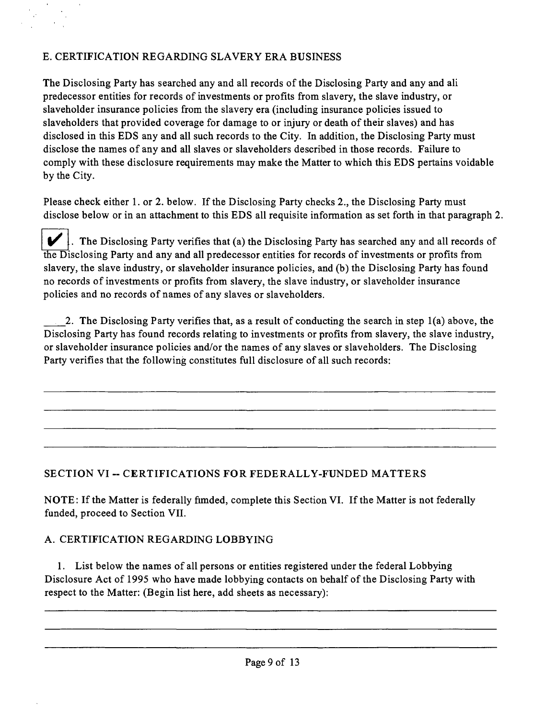## E. CERTIFICATION REGARDING SLAVERY ERA BUSINESS

The Disclosing Party has searched any and all records of the Disclosing Party and any and all predecessor entities for records of investments or profits from slavery, the slave industry, or slaveholder insurance policies from the slavery era (including insurance policies issued to slaveholders that provided coverage for damage to or injury or death of their slaves) and has disclosed in this EDS any and all such records to the City. In addition, the Disclosing Party must disclose the names of any and all slaves or slaveholders described in those records. Failure to comply with these disclosure requirements may make the Matter to which this EDS pertains voidable by the City.

Please check either 1. or 2. below. If the Disclosing Party checks 2., the Disclosing Party must disclose below or in an attachment to this EDS all requisite information as set forth in that paragraph 2.

 $\blacktriangleright$ . The Disclosing Party verifies that (a) the Disclosing Party has searched any and all records of the Disclosing Party and any and all predecessor entities for records of investments or profits from slavery, the slave industry, or slaveholder insurance policies, and (b) the Disclosing Party has found no records of investments or profits from slavery, the slave industry, or slaveholder insurance policies and no records of names of any slaves or slaveholders.

2. The Disclosing Party verifies that, as a result of conducting the search in step 1(a) above, the Disclosing Party has found records relating to investments or profits from slavery, the slave industry, or slaveholder insurance policies and/or the names of any slaves or slaveholders. The Disclosing Party verifies that the following constitutes full disclosure of all such records:

## **SECTION VI ~ CERTIFICATIONS FOR FEDERALLY-FUNDED MATTERS**

NOTE: If the Matter is federally fimded, complete this Section VI. If the Matter is not federally funded, proceed to Section VII.

## A. CERTIFICATION REGARDING LOBBYING

1. List below the names of all persons or entities registered under the federal Lobbying Disclosure Act of 1995 who have made lobbying contacts on behalf of the Disclosing Party with respect to the Matter: (Begin list here, add sheets as necessary):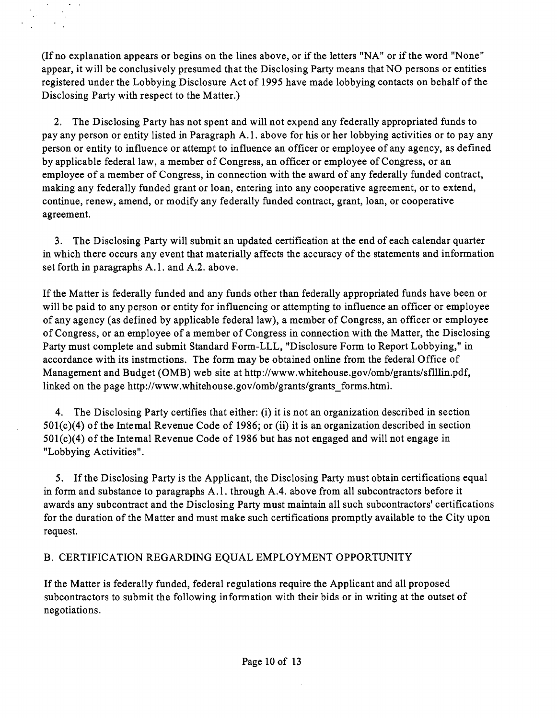(If no explanation appears or begins on the lines above, or if the letters "NA" or if the word "None" appear, it will be conclusively presumed that the Disclosing Party means that NO persons or entities registered under the Lobbying Disclosure Act of 1995 have made lobbying contacts on behalf of the Disclosing Party with respect to the Matter.)

 $\alpha$ 

2. The Disclosing Party has not spent and will not expend any federally appropriated funds to pay any person or entity listed in Paragraph A.l . above for his or her lobbying activities or to pay any person or entity to influence or attempt to influence an officer or employee of any agency, as defined by applicable federal law, a member of Congress, an officer or employee of Congress, or an employee of a member of Congress, in connection with the award of any federally funded contract, making any federally funded grant or loan, entering into any cooperative agreement, or to extend, continue, renew, amend, or modify any federally funded contract, grant, loan, or cooperative agreement.

3. The Disclosing Party will submit an updated certification at the end of each calendar quarter in which there occurs any event that materially affects the accuracy of the statements and information set forth in paragraphs A.1. and A.2. above.

If the Matter is federally funded and any funds other than federally appropriated funds have been or will be paid to any person or entity for influencing or attempting to influence an officer or employee of any agency (as defined by applicable federal law), a member of Congress, an officer or employee of Congress, or an employee of a member of Congress in connection with the Matter, the Disclosing Party must complete and submit Standard Form-LLL, "Disclosure Form to Report Lobbying," in accordance with its instmctions. The form may be obtained online from the federal Office of Management and Budget (OMB) web site at http://www.whitehouse.gov/omb/grants/sfllIin.pdf, linked on the page http://www.whitehouse.gov/omb/grants/grants forms.html.

4. The Disclosing Party certifies that either: (i) it is not an organization described in section 501(c)(4) of the Intemal Revenue Code of 1986; or (ii) it is an organization described in section 501(c)(4) of the Intemal Revenue Code of 1986 but has not engaged and will not engage in "Lobbying Activities".

5. If the Disclosing Party is the Applicant, the Disclosing Party must obtain certifications equal in form and substance to paragraphs A.l . through A.4. above from all subcontractors before it awards any subcontract and the Disclosing Party must maintain all such subcontractors' certifications for the duration of the Matter and must make such certifications promptly available to the City upon request.

## B. CERTIFICATION REGARDING EQUAL EMPLOYMENT OPPORTUNITY

If the Matter is federally funded, federal regulations require the Applicant and all proposed subcontractors to submit the following information with their bids or in writing at the outset of negotiations.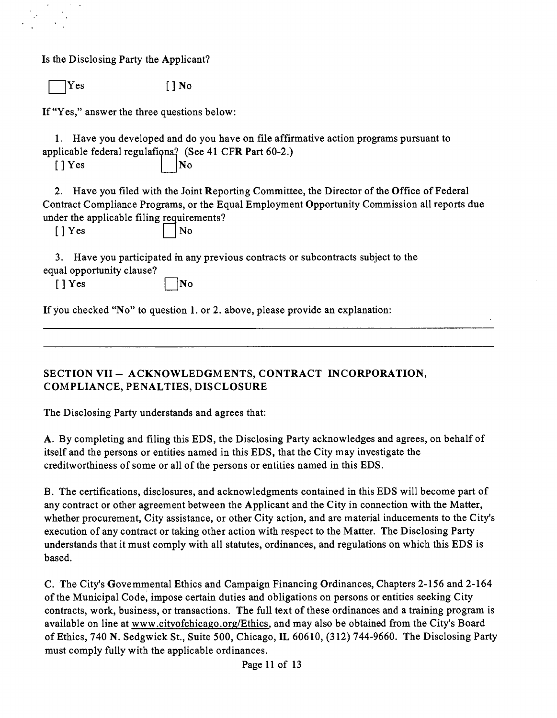Is the Disclosing Party the Applicant?

Yes [ ] No

If "Yes," answer the three questions below:

1. Have you developed and do you have on file affirmative action programs pursuant to applicable federal regulations? (See 41 CFR Part 60-2.)

 $\lceil$  | Yes  $\lceil$  | | No

2. Have you filed with the Joint Reporting Committee, the Director of the Office of Federal Contract Compliance Programs, or the Equal Employment Opportunity Commission all reports due under the applicable filing requirements?

 $[$  | Yes  $]$  | | No

3. Have you participated m any previous contracts or subcontracts subject to the equal opportunity clause?

 $\lceil$  | Yes  $\lceil$  | No

If you checked "No" to question 1. or 2. above, please provide an explanation:

## **SECTION VII ~ ACKNOWLEDGMENTS, CONTRACT INCORPORATION, COMPLIANCE, PENALTIES, DISCLOSURE**

The Disclosing Party understands and agrees that:

A. By completing and filing this EDS, the Disclosing Party acknowledges and agrees, on behalf of itself and the persons or entities named in this EDS, that the City may investigate the creditworthiness of some or all of the persons or entities named in this EDS.

B. The certifications, disclosures, and acknowledgments contained in this EDS will become part of any contract or other agreement between the Applicant and the City in connection with the Matter, whether procurement. City assistance, or other City action, and are material inducements to the City's execution of any contract or taking other action with respect to the Matter. The Disclosing Party understands that it must comply with all statutes, ordinances, and regulafions on which this EDS is based.

C. The City's Govemmental Ethics and Campaign Financing Ordinances, Chapters 2-156 and 2-164 ofthe Municipal Code, impose certain duties and obligations on persons or entities seeking City contracts, work, business, or transactions. The full text of these ordinances and a training program is available on line at www.citvofchicago.org/Ethics, and may also be obtained from the City's Board of Ethics, 740 N. Sedgwick St., Suite 500, Chicago, IL 60610, (312) 744-9660. The Disclosing Party must comply fully with the applicable ordinances.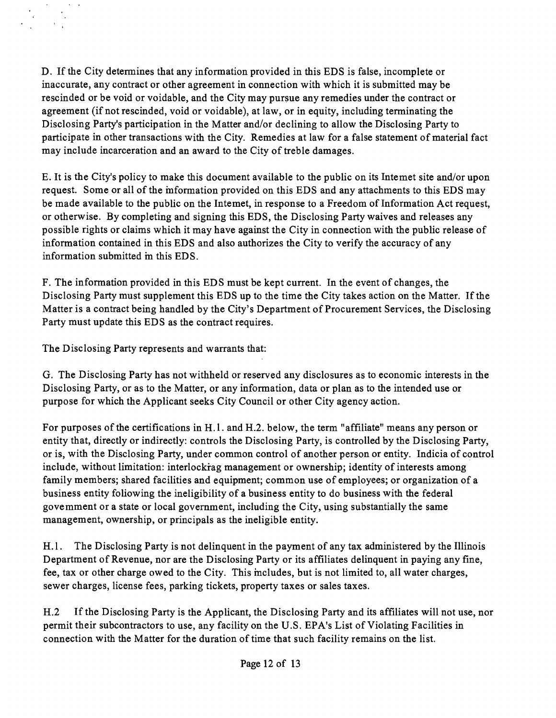D. If the City determines that any information provided in this EDS is false, incomplete or inaccurate, any contract or other agreement in connection with which it is submitted may be rescinded or be void or voidable, and the City may pursue any remedies under the contract or agreement (if not rescinded, void or voidable), at law, or in equity, including terminating the Disclosing Party's participation in the Matter and/or declining to allow the Disclosing Party to participate in other transactions with the City. Remedies at law for a false statement of material fact may include incarceration and an award to the City of treble damages.

E. It is the City's policy to make this document available to the public on its Intemet site and/or upon request. Some or all of the mformation provided on this EDS and any attachments to this EDS may be made available to the public on the Intemet, in response to a Freedom of Information Act request, or otherwise. By completing and signing this EDS, the Disclosing Party waives and releases any possible rights or claims which it may have against the City in connection with the public release of information contained in this EDS and also authorizes the City to verify the accuracy of any information submitted m this EDS.

F. The information provided in this EDS must be kept current. In the event of changes, the Disclosing Party must supplement this EDS up to the time the City takes action on the Matter. If the Matter is a contract being handled by the City's Department of Procurement Services, the Disclosing Party must update this EDS as the contract requires.

The Disclosing Party represents and warrants that:

G. The Disclosing Party has not withheld or reserved any disclosures as to economic interests in the Disclosing Party, or as to the Matter, or any information, data or plan as to the intended use or purpose for which the Applicant seeks City Council or other City agency action.

For purposes of the certifications in H.1. and H.2. below, the term "affiliate" means any person or entity that, directly or indirectly: controls the Disclosing Party, is controlled by the Disclosing Party, or is, with the Disclosing Party, under common control of another person or entity. Indicia of control include, without limitation: interlockrag management or ownership; identity of interests among family members; shared facilities and equipment; common use of employees; or organization of a business entity following the ineligibility of a business entity to do business with the federal govemment or a state or local government, including the City, using substantially the same management, ownership, or principals as the ineligible entity.

H.1. The Disclosing Party is not delinquent in the payment of any tax administered by the Illinois Department of Revenue, nor are the Disclosing Party or its affiliates delinquent in paying any fine, fee, tax or other charge owed to the City. This mcludes, but is not limited to, all water charges, sewer charges, license fees, parking tickets, property taxes or sales taxes.

H.2 If the Disclosing Party is the Applicant, the Disclosing Party and its affiliates will not use, nor permit their subcontractors to use, any facility on the U.S. EPA's List of Violating Facilities in connection with the Matter for the duration of time that such facility remains on the list.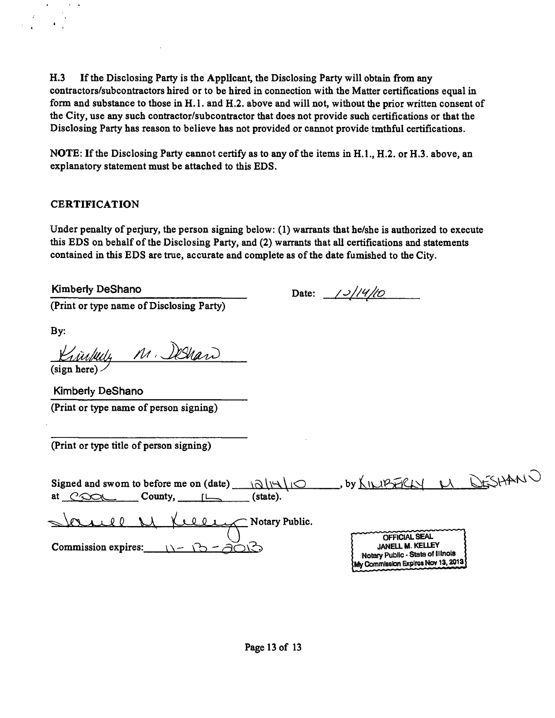H.3 If the Disclosing Party is the Applicant, the Disclosing Party will obtain from any contractors/subcontractors hired or to be hired in connection with the Matter certifications equal in form and substance to those in H.l . and H.2. above and will not, without the prior written consent of the City, use any such contractor/subcontractor that does not provide such certifications or that the Disclosing Party has reason to believe has not provided or cannot provide tmthful certifications.

NOTE: If the Disclosing Party cannot certify as to any of the items in H.1., H.2. or H.3. above, an explanatory statement must be attached to this EDS.

## **CERTIFICATION**

Under penalty of perjury, the person signing below: (1) warrants that he/she is authorized to execute this EDS on behalf of the Disclosing Party, and (2) warrants that all certifications and statements contained in this EDS are true, accurate and complete as of the date fumished to the City.

(Print or type name of Disclosing Party)

Kimberly DeShano Date:  $/2/(4/10$ 

By:

Krightly M. Deshaw

Kimberly DeShano (Print or type name of person signing)

(Print or type title of person signing)

| Signed and swom to before me on (date)<br>いついい<br>County,<br>at<br>(state).<br>$C$ paqu | DESHANN<br>$,$ by $\Lambda$ IN IP FRL                                                  |
|-----------------------------------------------------------------------------------------|----------------------------------------------------------------------------------------|
| $\sim$ Notary Public.<br>Commission expires:                                            | <b>OFFICIAL SEAL</b><br>JANELL M. KELLEY                                               |
|                                                                                         | <b>Notary Public - Stata of Illinois</b><br><b>KMy Commission Expires Nov 13, 2013</b> |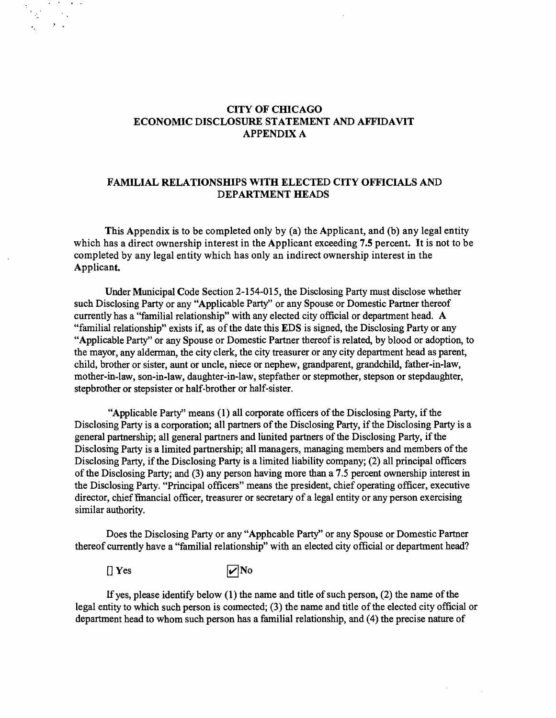#### **CITY OF CHICAGO ECONOMIC DISCLOSURE STATEMENT AND AFFIDAVIT APPENDIX A**

#### **FAMILIAL RELATIONSHIPS WITH ELECTED CITY OFFICIALS AND DEPARTMENT HEADS**

**This Appendix is to be completed only by (a) the Applicant, and (b) any legal entity which has a direct ownership interest in the Applicant exceeding 7.5 percent. It is not to be completed by any legal entity which has only an indirect ownership interest in the Applicant** 

Under Municipal Code Section 2-154-015, the Disclosing Party must disclose whether such Disclosing Party or any "Applicable Party" or any Spouse or Domestic Partner thereof currently has a "familial relationship" with any elected city official or department head. A "familial relationship" exists if, as of the date this EDS is signed, the Disclosing Party or any "Applicable Party" or any Spouse or Domestic Partner thereof is related, by blood or adoption, to the mayor, any alderman, the city clerk, the city treasurer or any city department head as parent, child, brother or sister, aunt or uncle, niece or nephew, grandparent, grandchild, father-in-law, mother-in-law, son-in-law, daughter-in-law, stepfather or stepmother, stepson or stepdaughter, stepbrother or stepsister or half-brother or half-sister.

"Applicable Party" means (1) all corporate officers of the Disclosing Party, if the Disclosing Party is a corporation; all partners of the Disclosing Party, if the Disclosing Party is a general partnership; all general partners and lunited partners of the Disclosing Party, if the Disclosmg Party is a limited partnership; all managers, managing members and members of the Disclosing Party, if the Disclosing Party is a limited liability company; (2) all principal officers of the Disclosing Party; and (3) any person having more than a 7.5 percent ownership interest in the Disclosing Party. "Principal officers" means the president, chief operating officer, executive director, chief fmancial officer, treasurer or secretary of a legal entity or any person exercising similar authority.

Does the Disclosing Party or any "Apphcable Party" or any Spouse or Domestic Partner thereof currently have a "familial relationship" with an elected city official or department head?

 $[$  Yes  $\overline{\mathbf{v}}$ No

 $\mathbf{u}=\mathbf{u}$ 

 $\sim 10^{-1}$  s

If yes, please identify below  $(1)$  the name and title of such person,  $(2)$  the name of the legal entity to which such person is coimected; (3) the name and title of the elected city official or department head to whom such person has a familial relationship, and (4) the precise nature of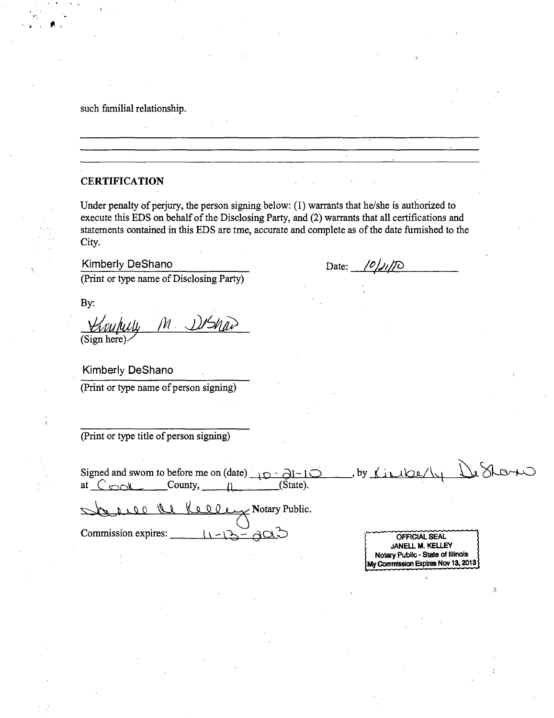such familial relationship.

#### **CERTIFICATION**

Under penalty of perjury, the person signing below: (1) warrants that he/she is authorized to execute this EDS on behalf of the Disclosing Party, and (2) warrants that all certifications and statements contained in this EDS are tme, accurate and complete as of the date fumished to the City.

Kimberly DeShano

Date:  $\frac{\frac{\partial}{\partial x}}{\frac{\partial}{\partial y}}$ 

(Print or type name of Disclosing Party)

By:

*(Sign here) /yi /)j^iu>* 

Kimberly DeShano

(Print or type name of person signing)

(Print or type titie of person signing)

Cores Re Signed and swom to before me on (date)  $\Box$   $\Box$   $\Box$ at  $C_{\text{col}}$  County,  $n$  (State).

Notary Public.

Commission expires:

OFFICIAL SEAL JANELL M. KELLEY I Notary Public-State of Illinois My Commission Expires Nov 13, 2013  $\}$ 

Š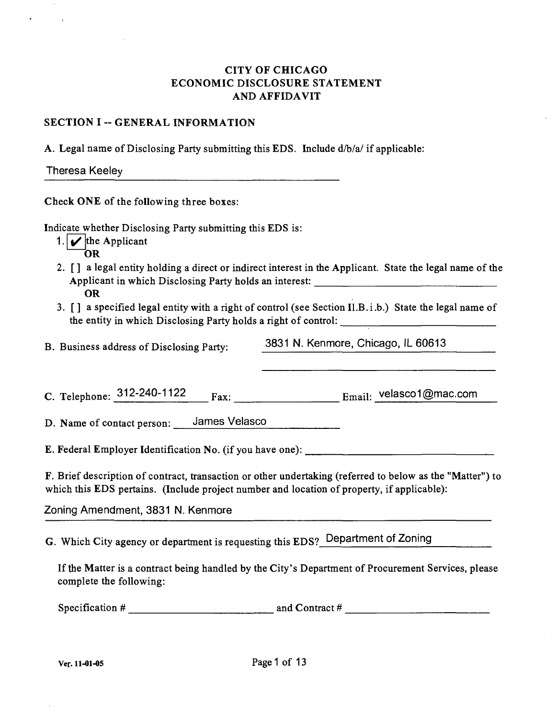## CITY OF CHICAGO ECONOMIC DISCLOSURE STATEMENT AND AFFIDAVIT

#### SECTION I -- GENERAL INFORMATION

A. Legal name of Disclosing Party submitting this EDS. Include  $d/b/a$  if applicable:

| <b>Theresa Keeley</b> |  |
|-----------------------|--|
|-----------------------|--|

Check ONE of the following three boxes:

Indicate whether Disclosing Party submitting this EDS is:

- 1.  $\mathbf{\nabla}$  the Applicant OR
- 2. [] a legal entity holding a direct or indirect interest in the Applicant. State the legal name of the Applicant in which Disclosing Party holds an interest: OR
- 3. [] a specified legal entity with a right of control (see Section Il.B.i.b.) State the legal name of the entity in which Disclosing Party holds a right of control:

B. Business address of Disclosing Party: 3831 N. Kenmore, Chicago, IL 60613

C. Telephone:  $312-240-1122$  Fax: Email: velasco1@mac.com

D. Name of contact person: James Velasco

E. Federal Employer Identification No. (if you have one):

F. Brief description of contract, transaction or other undertaking (referred to below as the "Matter") to which this EDS pertains. (Include project number and location of property, if applicable):

Zoning Amendment, 3831 N. Kenmore

G. Which City agency or department is requesting this EDS? Department of Zoning

If the Matter is a contract being handled by the City's Department of Procurement Services, please complete the following:

Specification # and Contract #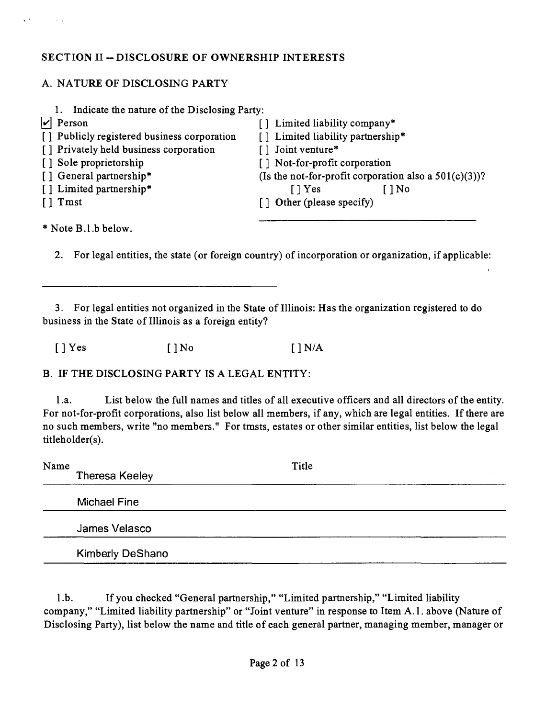## **SECTION II ~ DISCLOSURE OF OWNERSHIP INTERESTS**

## A. NATURE OF DISCLOSING PARTY

| Indicate the nature of the Disclosing Party:<br>1. |                                                          |
|----------------------------------------------------|----------------------------------------------------------|
| $ v $ Person                                       | [] Limited liability company*                            |
| [] Publicly registered business corporation        | [] Limited liability partnership*                        |
| [] Privately held business corporation             | [] Joint venture*                                        |
| [] Sole proprietorship                             | [] Not-for-profit corporation                            |
| [] General partnership*                            | (Is the not-for-profit corporation also a $501(c)(3)$ )? |
| [] Limited partnership*                            | $\lceil \cdot \rceil$ Yes<br>$\overline{\phantom{a}}$ No |
| $\lceil \cdot \rceil$ Tmst                         | [] Other (please specify)                                |
|                                                    |                                                          |

•\* Note B.l.b below.

 $\ddot{\phantom{a}}$ 

 $\sim$   $\sim$ 

2. For legal entities, the state (or foreign country) of incorporation or organization, if applicable:

3. For legal entities not organized in the State of Illinois: Has the organization registered to do business in the State of Illinois as a foreign entity?

 $[ ]$  Yes  $[ ]$  No  $[ ]$  N/A

B. IF THE DISCLOSING PARTY IS A LEGAL ENTITY:

l.a. List below the full names and titles of all executive officers and all directors of the entity. For not-for-profit corporations, also list below all members, if any, which are legal entities. If there are no such members, write "no members." For tmsts, estates or other similar entities, list below the legal titleholder(s).

| Name | <b>Theresa Keeley</b>   | Title |  |
|------|-------------------------|-------|--|
|      | <b>Michael Fine</b>     |       |  |
|      | James Velasco           |       |  |
|      | <b>Kimberly DeShano</b> |       |  |

l.b. If you checked "General partnership," "Limited partnership," "Limited liability company," "Limited liability partnership" or "Joint venture" in response to Item A.l . above (Nature of Disclosing Party), list below the name and title of each general partner, managing member, manager or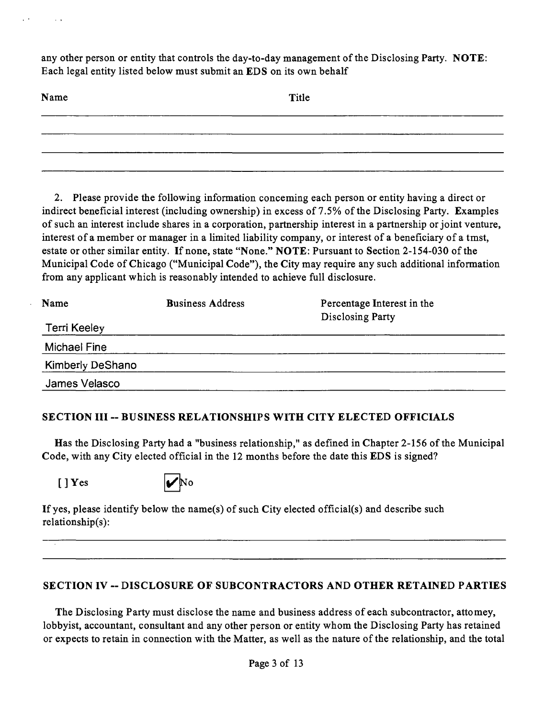any other person or entity that controls the day-to-day management ofthe Disclosing Party. NOTE: Each legal entity listed below must submit an EDS on its own behalf

| Name | Title |  |
|------|-------|--|
|      |       |  |
|      |       |  |
|      |       |  |

2. Please provide the following information conceming each person or entity having a direct or indirect beneficial interest (including ownership) in excess of 7.5% of the Disclosing Party. Examples of such an interest include shares in a corporation, partnership interest in a partnership or joint venture, interest of a member or manager in a limited liability company, or interest of a beneficiary of a tmst, estate or other similar entity. If none, state "None." NOTE: Pursuant to Section 2-154-030 of the Municipal Code of Chicago ("Municipal Code"), the City may require any such additional information from any applicant which is reasonably intended to achieve full disclosure.

| Name                    | <b>Business Address</b> | Percentage Interest in the<br>Disclosing Party |  |
|-------------------------|-------------------------|------------------------------------------------|--|
| Terri Keeley            |                         |                                                |  |
| Michael Fine            |                         |                                                |  |
| <b>Kimberly DeShano</b> |                         |                                                |  |
| James Velasco           |                         |                                                |  |

## **SECTION III ~ BUSINESS RELATIONSHIPS WITH CITY ELECTED OFFICIALS**

Has the Disclosing Party had a "business relationship," as defined in Chapter 2-156 of the Municipal Code, with any City elected official in the 12 months before the date this EDS is signed?

 $\lceil$  | Yes



If yes, please identify below the name(s) of such City elected official(s) and describe such relationship(s):

## **SECTION IV ~ DISCLOSURE OF SUBCONTRACTORS AND OTHER RETAINED PARTIES**

The Disclosing Party must disclose the name and business address of each subcontractor, attomey, lobbyist, accountant, consultant and any other person or entity whom the Disclosing Party has retained or expects to retain in connection with the Matter, as well as the nature of the relationship, and the total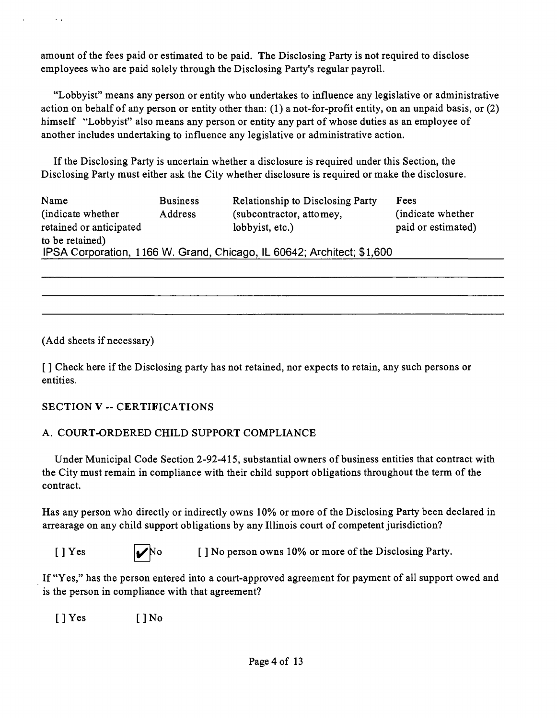amount of the fees paid or estimated to be paid. The Disclosing Party is not required to disclose employees who are paid solely through the Disclosing Party's regular payroll.

"Lobbyist" means any person or entity who undertakes to influence any legislative or administrative action on behalf of any person or entity other than: (1) a not-for-profit entity, on an unpaid basis, or (2) himself "Lobbyist" also means any person or entity any part of whose duties as an employee of another includes undertaking to influence any legislative or administrative action.

If the Disclosing Party is uncertain whether a disclosure is required under this Section, the Disclosing Party must either ask the City whether disclosure is required or make the disclosure.

| Name<br>(indicate whether)<br>retained or anticipated                                     | <b>Business</b><br>Address | <b>Relationship to Disclosing Party</b><br>(subcontractor, attomey,<br>lobbyist, etc.) | Fees<br>(indicate whether)<br>paid or estimated) |
|-------------------------------------------------------------------------------------------|----------------------------|----------------------------------------------------------------------------------------|--------------------------------------------------|
| to be retained)<br>IPSA Corporation, 1166 W. Grand, Chicago, IL 60642; Architect; \$1,600 |                            |                                                                                        |                                                  |

(Add sheets if necessary)

 $\sim$ 

[ J Check here if the Disclosing party has not retained, nor expects to retain, any such persons or entities.

## **SECTION V - CERTIFICATIONS**

## A. COURT-ORDERED CHILD SUPPORT COMPLIANCE

Under Municipal Code Section 2-92-415, substantial owners of business entities that contract with the City must remain in compliance with their child support obligations throughout the term of the contract.

Has any person who directly or indirectly owns 10% or more of the Disclosing Party been declared in arrearage on any child support obligations by any Illinois court of competent jurisdiction?

 $[ ]$  Yes  $]$   $\mathcal{V}$  No  $[ ]$  No person owns 10% or more of the Disclosing Party.

If "Yes," has the person entered into a court-approved agreement for payment of all support owed and is the person in compliance with that agreement?

[ J Yes [ J No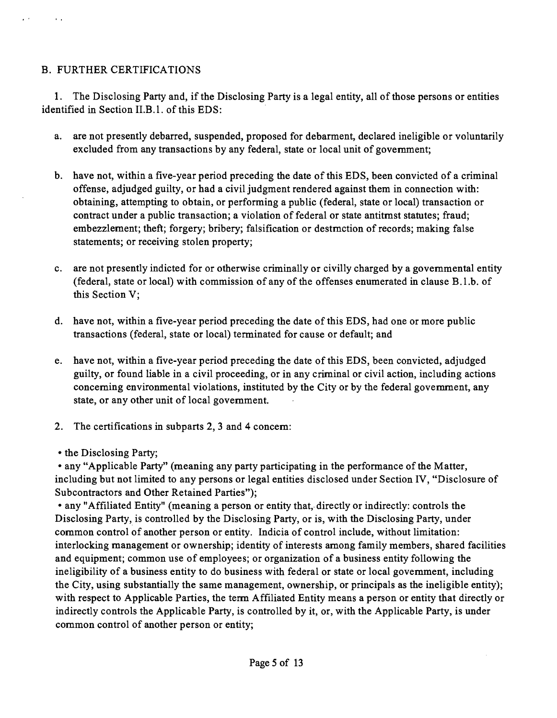## B. FURTHER CERTIFICATIONS

1. The Disclosing Party and, if the Disclosing Party is a legal entity, all of those persons or entities identified in Section II.B.1. of this EDS:

- a. are not presently debarred, suspended, proposed for debarment, declared ineligible or voluntarily excluded from any transactions by any federal, state or local unit of govemment;
- b. have not, within a five-year period preceding the date of this EDS, been convicted of a criminal offense, adjudged guilty, or had a civil judgment rendered against them in connection with: obtaining, attempting to obtain, or performing a public (federal, state or local) transaction or contract under a public transaction; a violation of federal or state antitmst statutes; fraud; embezzlement; theft; forgery; bribery; falsification or destmction of records; making false statements; or receiving stolen property;
- c. are not presently indicted for or otherwise criminally or civilly charged by a govemmental entity (federal, state or local) with commission of any of the offenses enumerated in clause B.l.b. of this Section V;
- d. have not, within a five-year period preceding the date of this EDS, had one or more public transactions (federal, state or local) terminated for cause or default; and
- e. have not, within a five-year period preceding the date ofthis EDS, been convicted, adjudged guilty, or found liable in a civil proceeding, or in any criminal or civil action, including actions conceming environmental violations, instituted by the City or by the federal govemment, any state, or any other unit of local govemment.
- 2. The certifications in subparts 2, 3 and 4 concem:
- the Disclosing Party;

• any "Applicable Party" (meaning any party participating in the performance of the Matter, including but not limited to any persons or legal entities disclosed under Section IV, "Disclosure of Subcontractors and Other Retained Parties");

• any "Affiliated Entity" (meaning a person or entity that, directly or indirectly: controls the Disclosing Party, is controlled by the Disclosing Party, or is, with the Disclosing Party, under common control of another person or entity. Indicia of control include, without limitation: interlocking management or ownership; identity of interests among family members, shared facilities and equipment; common use of employees; or organization of a business entity following the ineligibility of a business entity to do business with federal or state or local govemment, including the City, using substantially the same management, ownership, or principals as the ineligible entity); with respect to Applicable Parties, the term Affiliated Entity means a person or entity that directly or indirectly controls the Applicable Party, is controlled by it, or, with the Applicable Party, is under common control of another person or entity;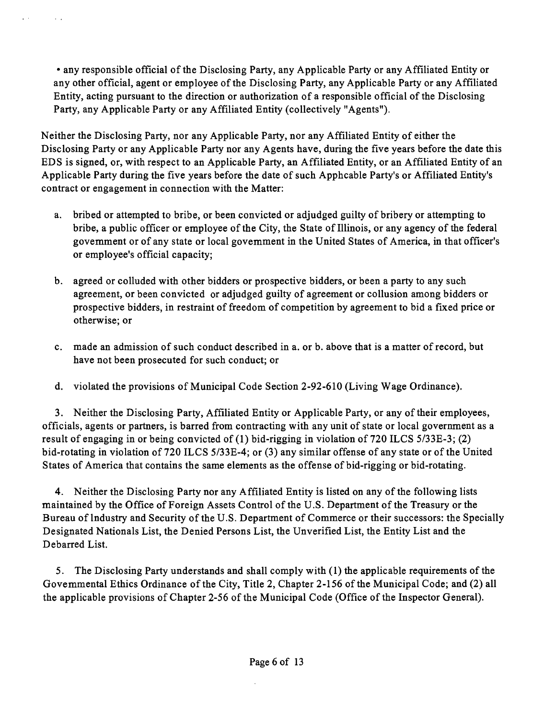• any responsible official of the Disclosing Party, any Applicable Party or any Affiliated Entity or any other official, agent or employee of the Disclosing Party, any Applicable Party or any Affiliated Entity, acting pursuant to the direction or authorization of a responsible official of the Disclosing Party, any Applicable Party or any Affiliated Entity (collectively "Agents").

 $\mathcal{L}(\mathcal{A})$  .

 $\sim 10^{-1}$ 

Neither the Disclosing Party, nor any Applicable Party, nor any Affiliated Entity of either the Disclosing Party or any Applicable Party nor any Agents have, during the five years before the date this EDS is signed, or, with respect to an Applicable Party, an Affiliated Entity, or an Affiliated Entity of an Applicable Party during the five years before the date of such Apphcable Party's or Affiliated Entity's contract or engagement in connection with the Matter:

- a. bribed or attempted to bribe, or been convicted or adjudged guilty of bribery or attempting to bribe, a public officer or employee of the City, the State of Illinois, or any agency of the federal govemment or of any state or local govemment in the United States of America, in that officer's or employee's official capacity;
- b. agreed or colluded with other bidders or prospective bidders, or been a party to any such agreement, or been convicted or adjudged guilty of agreement or collusion among bidders or prospective bidders, in restraint of freedom of competition by agreement to bid a fixed price or otherwise; or
- c. made an admission of such conduct described in a. or b. above that is a matter of record, but have not been prosecuted for such conduct; or
- d. violated the provisions of Municipal Code Section 2-92-610 (Living Wage Ordinance).

3. Neither the Disclosing Party, Affiliated Entity or Applicable Party, or any of their employees, officials, agents or partners, is barred from contracting with any unit of state or local government as a result of engaging in or being convicted of (1) bid-rigging in violation of 720 ILCS 5/33E-3; (2) bid-rotating in violation of 720 ILCS 5/33E-4; or (3) any similar offense of any state or of the United States of America that contains the same elements as the offense of bid-rigging or bid-rotating.

4. Neither the Disclosing Party nor any Affiliated Entity is listed on any of the following lists maintained by the Office of Foreign Assets Control of the U.S. Department of the Treasury or the Bureau of Industry and Security of the U.S. Department of Commerce or their successors: the Specially Designated Nationals List, the Denied Persons List, the Unverified List, the Entity List and the Debarred List.

5. The Disclosing Party understands and shall comply with (1) the applicable requirements of the Govemmental Ethics Ordinance of the City, Title 2, Chapter 2-156 of the Municipal Code; and (2) all the applicable provisions of Chapter 2-56 of the Municipal Code (Office of the Inspector General).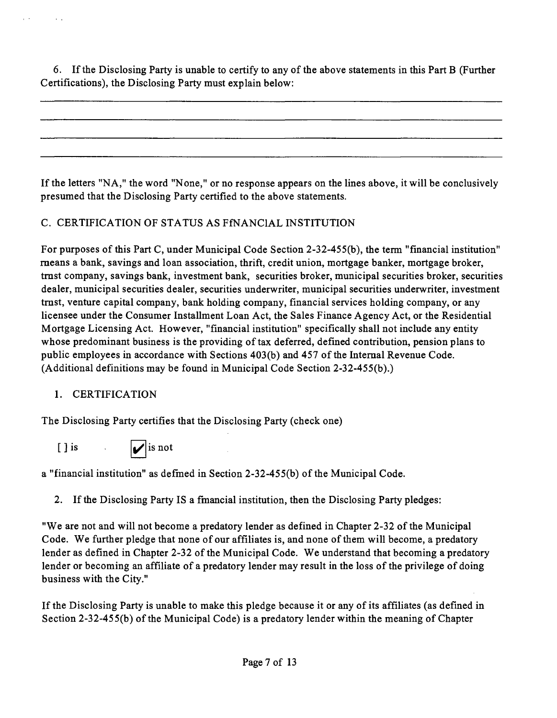6. If the Disclosing Party is unable to certify to any ofthe above statements in this Part B (Further Certifications), the Disclosing Party must explain below:

If the letters "NA," the word "None," or no response appears on the lines above, it will be conclusively presumed that the Disclosing Party certified to the above statements.

## C. CERTIFICATION OF STATUS AS FfNANClAL INSTITUTION

For purposes of this Part C, under Municipal Code Section 2-32-455(b), the term "financial institution" means a bank, savings and loan association, thrift, credit union, mortgage banker, mortgage broker, tmst company, savings bank, investment bank, securities broker, municipal securities broker, securities dealer, municipal securities dealer, securities underwriter, municipal securities underwriter, investment tmst, venture capital company, bank holding company, financial services holding company, or any licensee under the Consumer Installment Loan Act, the Sales Finance Agency Act, or the Residential Mortgage Licensing Act. However, "financial institution" specifically shall not include any entity whose predominant business is the providing of tax deferred, defined contribution, pension plans to public employees in accordance with Sections 403(b) and 457 of the Intemal Revenue Code. (Additional definitions may be found in Municipal Code Section 2-32-455(b).)

## 1. CERTIFICATION

The Disclosing Party certifies that the Disclosing Party (check one)

[] is  $\sqrt{\frac{1}{1}}$  is not

a "financial institution" as defmed in Section 2-32-45 5(b) of the Municipal Code.

2. If the Disclosing Party IS a fmancial institution, then the Disclosing Party pledges:

"We are not and will not become a predatory lender as defined in Chapter 2-32 of the Municipal Code. We further pledge that none of our affiliates is, and none of them will become, a predatory lender as defined in Chapter 2-32 of the Municipal Code. We understand that becoming a predatory lender or becoming an affiliate of a predatory lender may result in the loss of the privilege of doing business with the City."

If the Disclosing Party is unable to make this pledge because it or any of its affiliates (as defined in Section 2-32-455(b) of the Municipal Code) is a predatory lender within the meaning of Chapter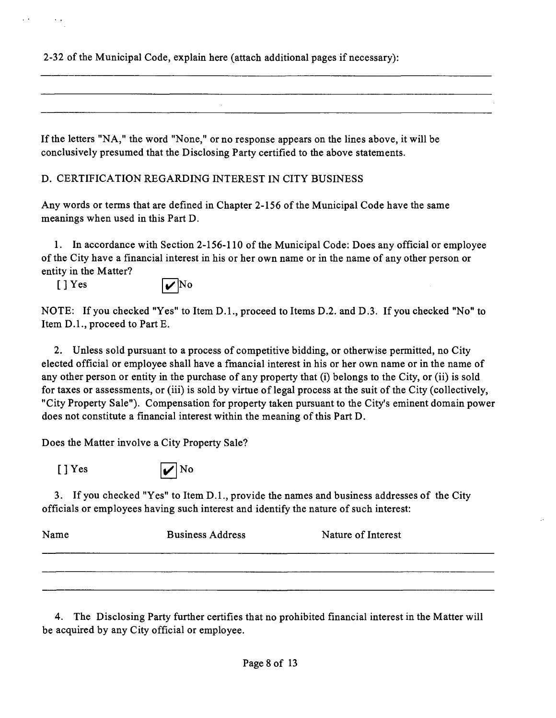2-32 of the Municipal Code, explain here (attach additional pages if necessary):

If the letters "NA," the word "None," or no response appears on the lines above, it will be conclusively presumed that the Disclosing Party certified to the above statements.

D. CERTIFICATION REGARDING INTEREST IN CITY BUSINESS

Any words or terms that are defined in Chapter 2-156 of the Municipal Code have the same meanings when used in this Part D.

1. In accordance with Section 2-156-110 of the Municipal Code: Does any official or employee of the City have a financial interest in his or her own name or in the name of any other person or entity in the Matter?



NOTE: If you checked "Yes" to Item D.L, proceed to Items D.2. and D.3. If you checked "No" to Item D.L, proceed to Part E.

2. Unless sold pursuant to a process of competitive bidding, or otherwise permitted, no City elected official or employee shall have a fmancial interest in his or her own name or in the name of any other person or entity in the purchase of any property that (i) belongs to the City, or (ii) is sold for taxes or assessments, or (iii) is sold by virtue of legal process at the suit of the City (collectively, "City Property Sale"). Compensation for property taken pursuant to the City's eminent domain power does not constitute a financial interest within the meaning of this Part D.

Does the Matter involve a City Property Sale?



3. If you checked "Yes" to Item D.L, provide the names and business addresses of the City officials or employees having such interest and identify the nature of such interest:

| Name | <b>Business Address</b> | Nature of Interest |
|------|-------------------------|--------------------|
|      |                         |                    |
|      |                         |                    |

4. The Disclosing Party further certifies that no prohibited financial interest in the Matter will be acquured by any City official or employee.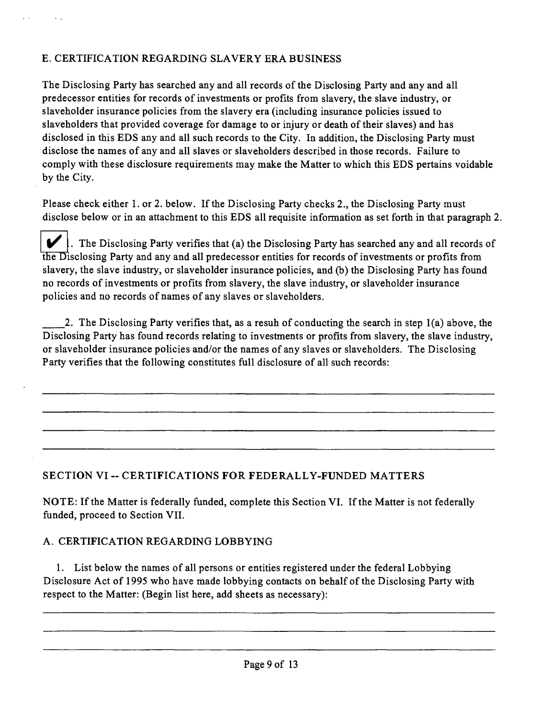The Disclosing Party has searched any and all records of the Disclosing Party and any and all predecessor entities for records of investments or profits from slavery, the slave industry, or slaveholder insurance policies from the slavery era (including insurance policies issued to slaveholders that provided coverage for damage to or injury or death of their slaves) and has disclosed in this EDS any and all such records to the City. In addition, the Disclosing Party must disclose the names of any and all slaves or slaveholders described in those records. Failure to comply with these disclosure requirements may make the Matter to which this EDS pertains voidable by the City.

Please check either 1. or 2. below. If the Disclosing Party checks 2., the Disclosing Party must disclose below or in an attachment to this EDS all requisite information as set forth in that paragraph 2.

 $\blacktriangleright$ . The Disclosing Party verifies that (a) the Disclosing Party has searched any and all records of the Disclosing Party and any and all predecessor entities for records of investments or profits from slavery, the slave industry, or slaveholder insurance policies, and (b) the Disclosing Party has found no records of investments or profits from slavery, the slave industry, or slaveholder insurance policies and no records of names of any slaves or slaveholders.

2. The Disclosing Party verifies that, as a resuh of conducting the search in step 1(a) above, the Disclosing Party has found records relating to investments or profits from slavery, the slave industry, or slaveholder insurance policies and/or the names of any slaves or slaveholders. The Disclosing Party verifies that the following constitutes full disclosure of all such records:

## **SECTION VI - CERTIFICATIONS FOR FEDERALLY-FUNDED MATTERS**

NOTE: If the Matter is federally funded, complete this Section VI. If the Matter is not federally funded, proceed to Section VII.

#### A. CERTIFICATION REGARDING LOBBYING

1. List below the names of all persons or entities registered under the federal Lobbying Disclosure Act of 1995 who have made lobbying contacts on behalf of the Disclosing Party with respect to the Matter: (Begin list here, add sheets as necessary):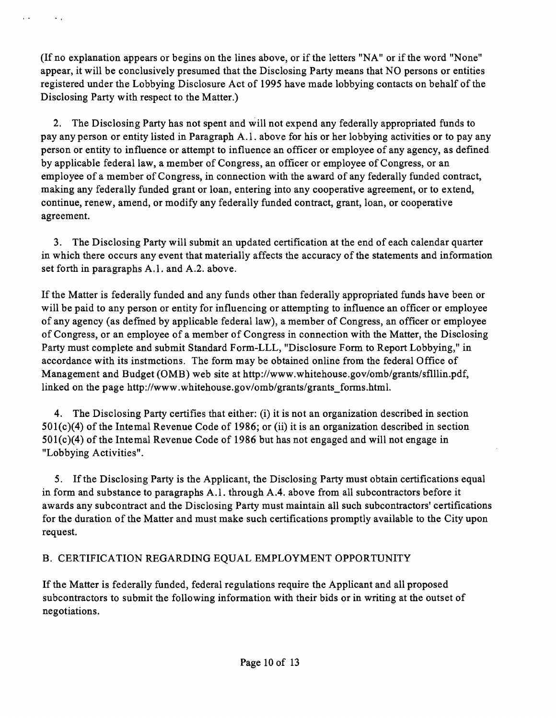(If no explanation appears or begins on the lines above, or if the letters "NA" or if the word "None" appear, it will be conclusively presumed that the Disclosing Party means that NO persons or entities registered under the Lobbying Disclosure Act of 1995 have made lobbying contacts on behalf of the Disclosing Party with respect to the Matter.)

 $\mathbf{r} \rightarrow \mathbf{r}$ 

 $\sim$   $\sim$ 

2. The Disclosing Party has not spent and will not expend any federally appropriated funds to pay any person or entity listed in Paragraph A.l . above for his or her lobbying activities or to pay any person or entity to influence or attempt to influence an officer or employee of any agency, as defined by applicable federal law, a member of Congress, an officer or employee of Congress, or an employee of a member of Congress, in connection with the award of any federally funded contract, making any federally funded grant or loan, entering into any cooperative agreement, or to extend, continue, renew, amend, or modify any federally funded contract, grant, loan, or cooperative agreement.

3. The Disclosing Party will submit an updated certification at the end of each calendar quarter in which there occurs any event that materially affects the accuracy of the statements and information set forth in paragraphs A.l . and A.2. above.

If the Matter is federally funded and any funds other than federally appropriated funds have been or will be paid to any person or entity for influencing or attempting to influence an officer or employee of any agency (as defmed by applicable federal law), a member of Congress, an officer or employee of Congress, or an employee of a member of Congress in connection with the Matter, the Disclosing Party must complete and submit Standard Form-LLL, "Disclosure Form to Report Lobbying," in accordance with its instmctions. The form may be obtained online from the federal Office of Management and Budget (OMB) web site at http://www.whitehouse.gov/omb/grants/sflllin.pdf, linked on the page http://www.whitehouse.gov/omb/grants/grants forms.html.

4. The Disclosing Party certifies that either: (i) it is not an organization described in section  $501(c)(4)$  of the Intemal Revenue Code of 1986; or (ii) it is an organization described in section 501(c)(4) of the Intemal Revenue Code of 1986 but has not engaged and will not engage in "Lobbying Activities".

5. If the Disclosing Party is the Applicant, the Disclosing Party must obtain certifications equal in form and substance to paragraphs A.l . through A.4. above from all subcontractors before it awards any subcontract and the Disclosing Party must maintain all such subcontractors' certifications for the duration of the Matter and must make such certifications promptly available to the City upon request.

## B. CERTIFICATION REGARDING EQUAL EMPLOYMENT OPPORTUNITY

If the Matter is federally funded, federal regulations require the Applicant and all proposed subcontractors to submit the following information with their bids or in writing at the outset of negotiations.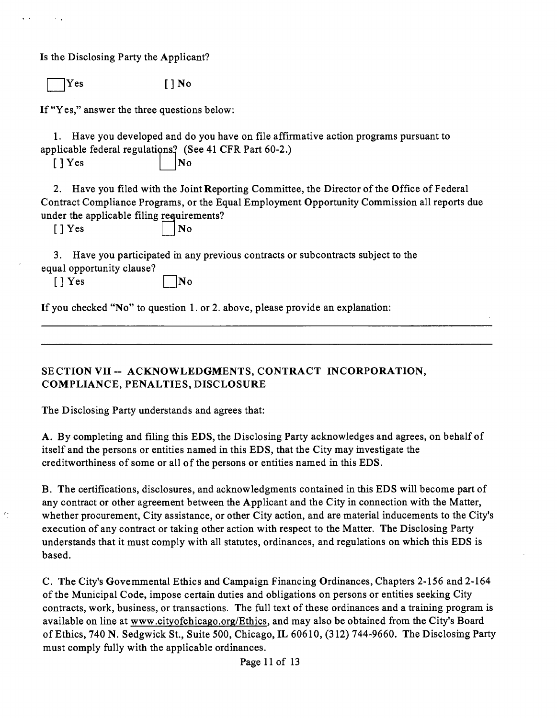Is the Disclosing Party the Applicant?

 $Yes$  [ ] No

If "Yes," answer the three questions below:

1. Have you developed and do you have on file affirmative action programs pursuant to applicable federal regulations? (See 41 CFR Part 60-2.)

 $[$  | Yes  $]$  | | No

2. Have you filed with the Joint Reporting Committee, the Director of the Office of Federal Contract Compliance Programs, or the Equal Employment Opportunity Commission all reports due under the applicable filing requirements? real

 $\mathfrak{c}$ 

 $\Box$  No

3. Have you participated m any previous contracts or subcontracts subject to the equal opportunity clause?

 $[1]$  Yes  $\blacksquare$  No

If you checked "No" to question 1. or 2. above, please provide an explanation:

**SECTION VII ~ ACKNOWLEDGMENTS, CONTRACT INCORPORATION, COMPLIANCE, PENALTIES, DISCLOSURE** 

The Disclosing Party understands and agrees that:

A. By completing and filing this EDS, the Disclosing Party acknowledges and agrees, on behalf of itself and the persons or entities named in this EDS, that the City may mvestigate the creditworthiness of some or all of the persons or entities named in this EDS.

B. The certifications, disclosures, and acknowledgments contained in this EDS will become part of any contract or other agreement between the Applicant and the City in connection with the Matter, whether procurement. City assistance, or other City action, and are material inducements to the City's execution of any contract or taking other action with respect to the Matter. The Disclosing Party understands that it must comply with all statutes, ordinances, and regulations on which this EDS is based.

C. The City's Govemmental Ethics and Campaign Financing Ordinances, Chapters 2-156 and 2-164 of the Municipal Code, impose certain duties and obligations on persons or entities seeking City contracts, work, business, or transactions. The full text of these ordinances and a training program is available on line at www.cityofchicago.org/Ethics. and may also be obtained from the City's Board of Ethics, 740 N. Sedgwick St., Suite 500, Chicago, IL 60610, (312) 744-9660. The Disclosmg Party must comply fully with the applicable ordinances.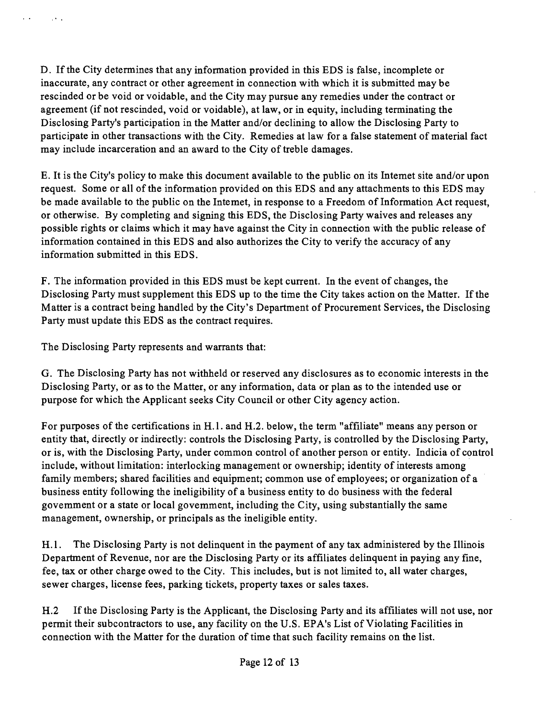D. If the City determines that any information provided in this EDS is false, incomplete or inaccurate, any contract or other agreement in connection with which it is submitted may be rescinded or be void or voidable, and the City may pursue any remedies under the contract or agreement (if not rescinded, void or voidable), at law, or in equity, including terminating the Disclosing Party's participation in the Matter and/or declining to allow the Disclosing Party to participate in other transactions with the City. Remedies at law for a false statement of material fact may include incarceration and an award to the City of treble damages.

E. It is the City's policy to make this document available to the public on its Intemet site and/or upon request. Some or all of the information provided on this EDS and any attachments to this EDS may be made available to the public on the Intemet, in response to a Freedom of Information Act request, or otherwise. By completing and signing this EDS, the Disclosing Party waives and releases any possible rights or claims which it may have against the City in connection with the public release of information contained in this EDS and also authorizes the City to verify the accuracy of any information submitted in this EDS.

F. The information provided in this EDS must be kept current. In the event of changes, the Disclosing Party must supplement this EDS up to the time the City takes action on the Matter. If the Matter is a contract being handled by the City's Department of Procurement Services, the Disclosing Party must update this EDS as the contract requires.

The Disclosing Party represents and warrants that:

 $\sim 100$ 

 $\sim 20\,$   $\mu$ 

G. The Disclosing Party has not withheld or reserved any disclosures as to economic interests in the Disclosing Party, or as to the Matter, or any information, data or plan as to the intended use or purpose for which the Applicant seeks City Council or other City agency action.

For purposes of the certifications in H.1. and H.2. below, the term "affiliate" means any person or entity that, directly or indirectly: controls the Disclosing Party, is controlled by the Disclosing Party, or is, with the Disclosing Party, under common control of another person or entity. Indicia of control include, without limitation: interlocking management or ownership; identity of interests among family members; shared facilities and equipment; common use of employees; or organization of a business entity following the ineligibility of a business entity to do business with the federal govemment or a state or local govemment, including the City, using substantially the same management, ownership, or principals as the ineligible entity.

H.1. The Disclosing Party is not delinquent in the payment of any tax administered by the Illinois Department of Revenue, nor are the Disclosing Party or its affiliates delinquent in paying any fine, fee, tax or other charge owed to the City. This includes, but is not limited to, all water charges, sewer charges, license fees, parking tickets, property taxes or sales taxes.

H.2 If the Disclosing Party is the Applicant, the Disclosing Party and its affiliates will not use, nor permit their subcontractors to use, any facility on the U.S. EPA's List of Violating Facilities in connection with the Matter for the duration of time that such facility remains on the list.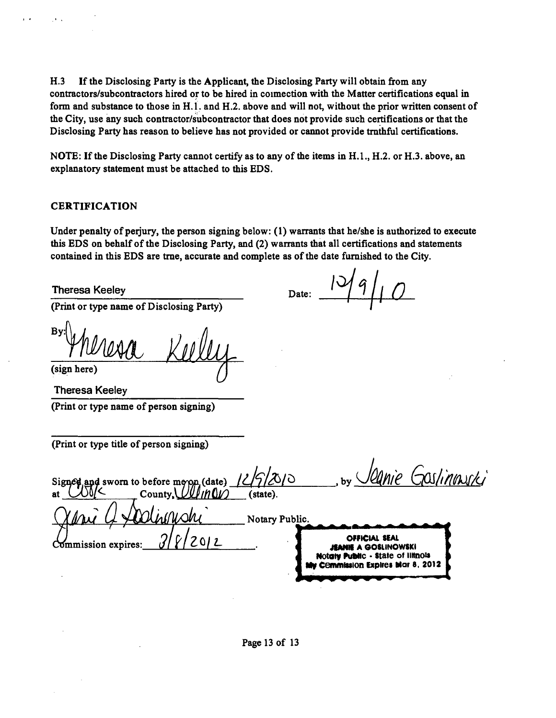H.3 If the Disclosing Party is the Applicant, the Disclosing Party will obtain from any **contractors/subcontractors hired or to be hired in coimection with the Matter certifications equal in form and substance to those in H.l. and H.2. above and will not, without the prior written consent of the City, use any such contractor/subcontractor that does not provide such certifications or that the Disclosing Party has reason to believe has not provided or cannot provide tmthful certifications.** 

NOTE: If the Disclosing Party cannot certify as to any of the items in H.1., H.2. or H.3. above, an **explanatory statement must be attached to this EDS.** 

#### **CERTIFICATION**

**Under penalty of perjury, the person signing below: (1) warrants that he/she is authorized to execute this EDS on behalf of the Disclosing Party, and (2) warrants that all certifications and statements contained in this EDS are tme, accurate and complete as ofthe date fumished to the City.** 

**Date:** 

**Theresa Keeley** 

**(Print or type name of Disclosing Party)** 

 $Bv$ **(sign here)** 

**Theresa Keeley (Print or type name of person signing)** 

**(Print or type title of person signing)** 

anie Gostinnuski sworn to before meyon, (date)  $\frac{12}{12000}$  $Countv.$ (state). **Notary Public. I • 1 • • \***  *21lL*  **OFFICIAL SEAL 5mmission expires: » m k A GOSUNOWSKI Notaty Public - State of liltnois Cemmission Expires Mar 8. 2012** 

**Page 13 of 13**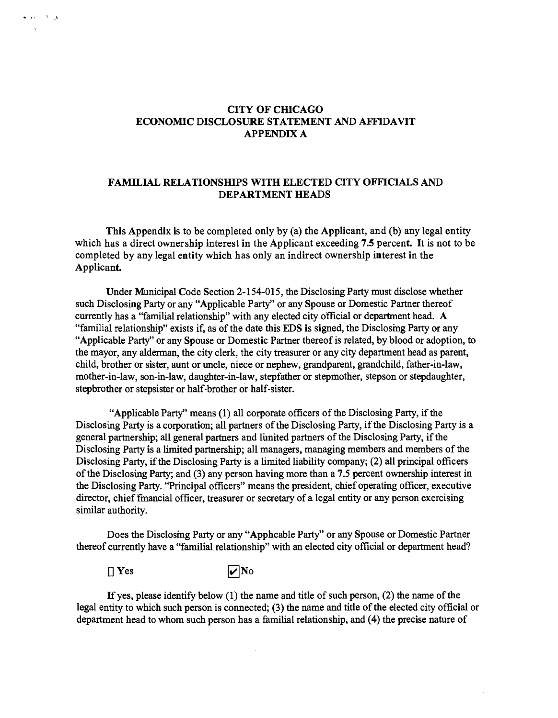#### **CITY OF CHICAGO ECONOMIC DISCLOSURE STATEMENT AND AFFIDAVIT APPENDIX A**

#### FAMILIAL RELATIONSHIPS WITH ELECTED CITY OFFICIALS AND **DEPARTMENT HEADS**

**This Appendix is to be completed only by (a) the Applicant, and (b) any legal entity**  which has a direct ownership interest in the Applicant exceeding 7.5 percent. It is not to be **completed by any legal entity which has only an indirect ownership interest in the**  Applicant.

Under Municipal Code Section 2-154-015, the Disclosing Party must disclose whether such Disclosing Party or any "Applicable Party" or any Spouse or Domestic Partner thereof currently has a "familial relationship" with any elected city official or department head. A "familial relationship" exists if, as of the date this EDS is signed, the Disclosing Party or any "Applicable Party" or any Spouse or Domestic Partner thereof is related, by blood or adoption, to the mayor, any alderman, the city clerk, the city treasurer or any city department head as parent, child, brother or sister, aunt or uncle, niece or nephew, grandparent, grandchild, father-in-law, mother-in-law, son-in-law, daughter-in-law, stepfather or stepmother, stepson or stepdaughter, stepbrother or stepsister or half-brother or half-sister.

"Applicable Party" means (1) all corporate officers of the Disclosing Party, if the Disclosuig Party is a corporation; all partners of the Disclosing Party, if the Disclosing Party is a general partnership; all general partners and lunited partners of the Disclosing Party, if the Disclosing Party is a limited partnership; all managers, managing members and members of the Disclosing Party, if the Disclosing Party is a limited liability company; (2) all principal officers of the Disclosung Party; and (3) any person having more than a 7.5 percent ownership interest in the Disclosing Party. "Principal officers" means the president, chief operatmg officer, executive director, chief fmancial officer, treasurer or secretary of a legal entity or any person exercising similar authority.

Does the Disclosmg Party or any "Apphcable Party" or any Spouse or Domestic Partner thereof currently have a "familial relationship" with an elected city official or department head?

 $[$  Yes  $\overline{\mathbf{v}}$  No

يرتقى الأرادية الما

 $\bar{z}$ 

If yes, please identify below  $(1)$  the name and title of such person,  $(2)$  the name of the legal entity to which such person is connected; (3) the name and title of the elected city official or department head to whom such person has a familial relationship, and (4) the precise nature of

 $\sim$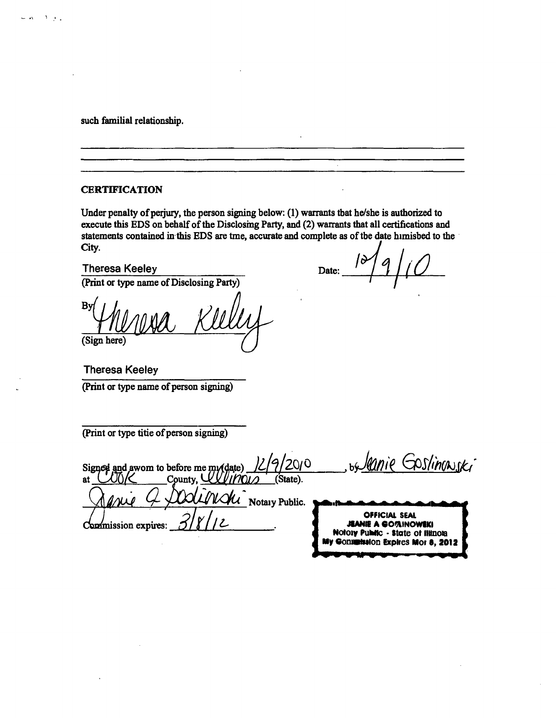**such familial relationship.** 

وأقرأ الأفريد

#### **CERTIFICATION**

**Under penalty of perjury, the person signing below: (1) warrants tbat he/she is authorized to execute this EDS on behalf of the Disclosmg Party, and (2) warrants that all certifications and statements contained in this EDS are tme, accurate and complete as of tbe date himisbed to the City.** 

**Theresa Keeley Date:** Date: **(Print or type name of Disclosing Party)** 

**B (Sign here)** 

**Theresa Keeley (Print or type name of person signing)** 

**(Print or type titie of person signing)** 

by lanie Goslinowski 2010 Signed and awom to before me mudate)<br>at  $\bigcup_{i}$ **^'^•£\_\_County , UTO7n ^ (State).**   $\mathcal{H}$ *N* Notaiy Public.  $\frac{1}{2}$   $\frac{1}{2}$   $\frac{1}{2}$   $\frac{1}{2}$   $\frac{1}{2}$  **TEANIE A GO73INOWEKI ' Holoiv Public - state ol iWnoia My ConimlMlon Expires Mor 8, 2012** 

*www.mating.org/www.mating.org/www.mating.org/www.mating.org/www.mating.org/www.mating.org/www.mating.org/www.mating.org/www.mating.org/www.mating.org/www.mating.org/www.mating.org/www.mating.org/www.mating.org/www.mating*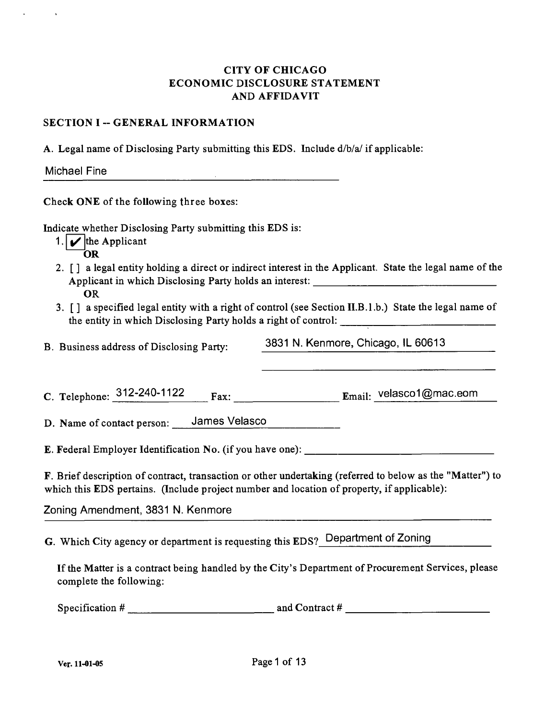## CITY OF CHICAGO ECONOMIC DISCLOSURE STATEMENT AND AFFIDAVIT

#### SECTION I -- GENERAL INFORMATION

A. Legal name of Disclosing Party submitting this EDS. Include d/b/a/ ifapplicable:

| <b>Michael Fine</b> |  |  |
|---------------------|--|--|
|                     |  |  |

Check ONE of the following three boxes:

Indicate whether Disclosing Party submitting this EDS is:

- 1.  $\blacktriangleright$  the Applicant
	- OR
- 2. [J a legal entity holding a direct or indirect interest in the Applicant. State the legal name of the Applicant in which Disclosing Party holds an interest: OR
- 3. [ J a specified legal entity with a right of control (see Section II.B.l .b.) State the legal name of the entity in which Disclosing Party holds a right of control:

B. Business address of Disclosing Party: 3831 N. Kenmore, Chicago. IL 60613

C. Telephone: 312-240-1122 p^^. Email: velasco1@mac.eom

D. Name of contact person: James Velasco

E. Federal Employer Identification No. (if you have one):

F. Brief description of contract, transaction or other undertaking (referred to below as the "Matter") to which this EDS pertains. (Include project number and location of property, if applicable):

Zoning Amendment. 3831 N. Kenmore

G. Which City agency or department is requesting this EDS? Department of Zoning

If the Matter is a contract being handled by the City's Department of Procurement Services, please complete the following:

Specification # and Contract #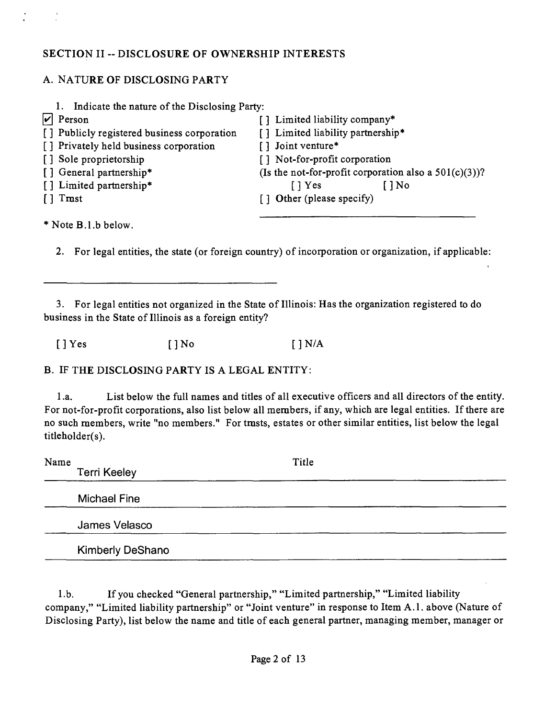## **SECTION II -- DISCLOSURE OF OWNERSHIP INTERESTS**

## A. NATURE OF DISCLOSING PARTY

| 1. Indicate the nature of the Disclosing Party:<br>Person | [] Limited liability company*                            |
|-----------------------------------------------------------|----------------------------------------------------------|
| [] Publicly registered business corporation               | [] Limited liability partnership*                        |
| [] Privately held business corporation                    | [] Joint venture*                                        |
| [] Sole proprietorship                                    | [] Not-for-profit corporation                            |
| [] General partnership*                                   | (Is the not-for-profit corporation also a $501(c)(3)$ )? |
| [] Limited partnership*                                   | $\lceil \cdot \rceil$ Yes<br>$1$ No                      |
| Tmst                                                      | [] Other (please specify)                                |
|                                                           |                                                          |
| * Note B.1.b below.                                       |                                                          |

2. For legal entities, the state (or foreign country) of incorporation or organization, if applicable:

3. For legal entities not organized in the State of Illinois: Has the organization registered to do business in the State of Illinois as a foreign entity?

 $[$   $]$   $Yes$   $[$   $]$   $N/A$   $[$   $]$   $N/A$ 

B. IF THE DISCLOSING PARTY IS A LEGAL ENTITY:

1.a. List below the full names and titles of all executive officers and all directors of the entity. For not-for-profit corporations, also list below all members, if any, which are legal entities. If there are no such members, write "no members." For tmsts, estates or other similar entities, list below the legal titleholder(s).

| Name | <b>Terri Keeley</b>     | Title |  |
|------|-------------------------|-------|--|
|      | <b>Michael Fine</b>     |       |  |
|      | James Velasco           |       |  |
|      | <b>Kimberly DeShano</b> |       |  |

1 .b. If you checked "General partnership," "Limited partnership," "Limited liability company," "Limited liability partnership" or "Joint venture" in response to Item A.l . above (Nature of Disclosing Party), list below the name and title of each general partner, managing member, manager or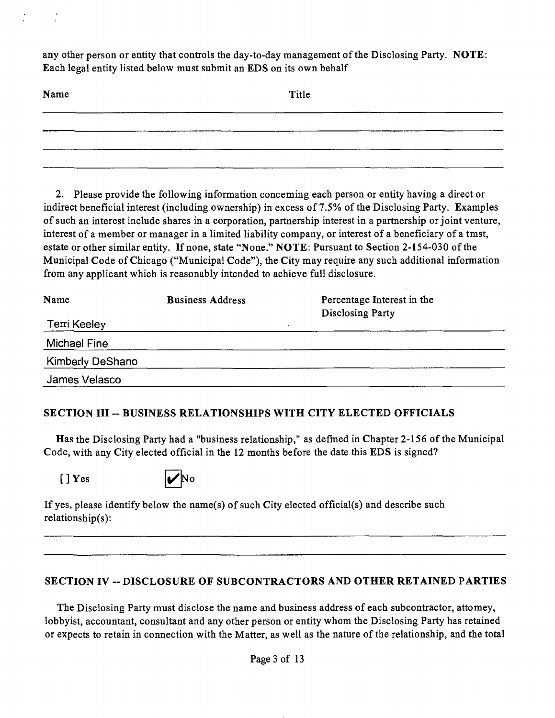any other person or entity that controls the day-to-day management of the Disclosing Party. NOTE: Each legal entity listed below must submit an EDS on its own behalf

| Name   | Title |
|--------|-------|
|        |       |
|        |       |
| ______ |       |

2. Please provide the following information conceming each person or entity having a direct or indirect beneficial interest (including ownership) in excess of 7.5% of the Disclosing Party. Examples of such an interest include shares in a corporation, partnership interest in a partnership or joint venture, interest of a member or manager in a limited liability company, or interest of a beneficiary of a tmst, estate or other similar entity. If none, state "None." NOTE: Pursuant to Section 2-154-030 of the Municipal Code of Chicago ("Municipal Code"), the City may require any such additional information from any applicant which is reasonably intended to achieve full disclosure.

| Name                    | <b>Business Address</b> | Percentage Interest in the |
|-------------------------|-------------------------|----------------------------|
| Terri Keeley            |                         | <b>Disclosing Party</b>    |
| Michael Fine            |                         |                            |
| <b>Kimberly DeShano</b> |                         |                            |
| James Velasco           |                         |                            |

## SECTION III ~ BUSINESS RELATIONSHIPS WITH CITY ELECTED OFFICIALS

Has the Disclosing Party had a "business relationship," as defmed in Chapter 2-156 of the Municipal Code, with any City elected official in the 12 months before the date this EDS is signed?



If yes, please identify below the name(s) of such City elected official(s) and describe such relationship(s):

## SECTION IV -- DISCLOSURE OF SUBCONTRACTORS AND OTHER RETAINED PARTIES

The Disclosing Party must disclose the name and business address of each subcontractor, attomey, lobbyist, accountant, consultant and any other person or entity whom the Disclosing Party has retained or expects to retain in connection with the Matter, as well as the nature of the relationship, and the total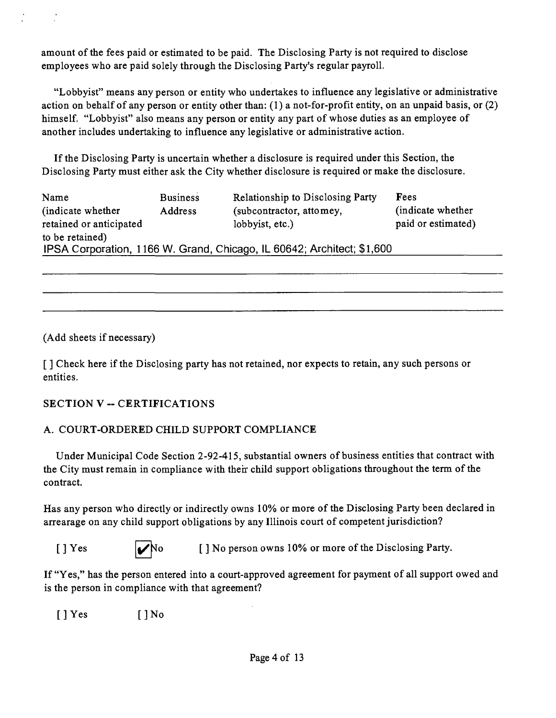amount of the fees paid or estimated to be paid. The Disclosing Party is not required to disclose employees who are paid solely through the Disclosing Party's regular payroll.

"Lobbyist" means any person or entity who undertakes to influence any legislative or administrative action on behalf of any person or entity other than: (1) a not-for-profit entity, on an unpaid basis, or (2) himself. "Lobbyist" also means any person or entity any part of whose duties as an employee of another includes undertaking to influence any legislative or administrative action.

If the Disclosing Party is uncertain whether a disclosure is required under this Section, the Disclosing Party must either ask the City whether disclosure is required or make the disclosure.

| Name                    | <b>Business</b> | <b>Relationship to Disclosing Party</b>                                | Fees               |
|-------------------------|-----------------|------------------------------------------------------------------------|--------------------|
| (indicate whether)      | Address         | (subcontractor, attomey,                                               | (indicate whether) |
| retained or anticipated |                 | lobbyist, etc.)                                                        | paid or estimated) |
| to be retained)         |                 |                                                                        |                    |
|                         |                 | IPSA Corporation, 1166 W. Grand, Chicago, IL 60642; Architect; \$1,600 |                    |

(Add sheets if necessary)

[] Check here if the Disclosing party has not retained, nor expects to retain, any such persons or entities.

## SECTION V -- CERTIFICATIONS

## A. COURT-ORDERED CHILD SUPPORT COMPLIANCE

Under Municipal Code Section 2-92-415, substantial owners of business entities that contract with the City must remain in compliance with their child support obligations throughout the term of the contract.

Has any person who directly or indirectly owns 10% or more of the Disclosing Party been declared in arrearage on any child support obligations by any Illinois court of competent jurisdiction?

|--|--|

 $[1 \text{Yes}$   $\bigcup_{N \text{O}}$  [ 1 No person owns 10% or more of the Disclosing Party.

If "Yes," has the person entered into a court-approved agreement for payment of all support owed and is the person in compliance with that agreement?

 $[$   $]$   $Y$ es  $[$   $]$   $N$ o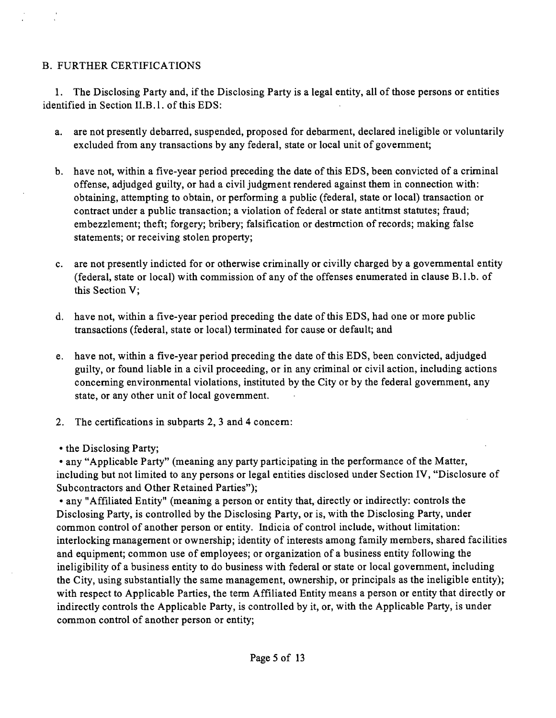## B. FURTHER CERTIFICATIONS

1. The Disclosing Party and, if the Disclosing Party is a legal entity, all of those persons or entities identified in Section II.B.1. of this EDS:

- a. are not presently debarred, suspended, proposed for debarment, declared ineligible or voluntarily excluded from any transactions by any federal, state or local unit of govemment;
- b. have not, within a five-year period preceding the date of this EDS, been convicted of a criminal offense, adjudged guilty, or had a civil judgment rendered against them in connection with: obtaining, attempting to obtain, or performing a public (federal, state or local) transaction or contract under a public transaction; a violation of federal or state antitmst statutes; fraud; embezzlement; theft; forgery; bribery; falsification or destmction of records; making false statements; or receiving stolen property;
- c. are not presently indicted for or otherwise criminally or civilly charged by a govemmental entity (federal, state or local) with commission of any of the offenses enumerated in clause B.l.b. of this Section V;
- d. have not, within a five-year period preceding the date of this EDS, had one or more public transactions (federal, state or local) terminated for cause or default; and
- e. have not, within a five-year period preceding the date of this EDS, been convicted, adjudged guilty, or found liable in a civil proceeding, or in any criminal or civil action, including actions conceming environmental violations, instituted by the City or by the federal govemment, any state, or any other unit of local govemment.
- 2. The certifications in subparts 2, 3 and 4 concem:
- the Disclosing Party;

• any "Applicable Party" (meaning any party participating in the performance of the Matter, including but not limited to any persons or legal entities disclosed under Section IV, "Disclosure of Subcontractors and Other Retained Parties");

• any "Affiliated Entity" (meanmg a person or entity that, directly or indirectly: controls the Disclosing Party, is controlled by the Disclosing Party, or is, with the Disclosing Party, under common control of another person or entity. Indicia of control include, without limitation: interlocking management or ownership; identity of interests among family members, shared facilities and equipment; common use of employees; or organization of a business entity following the ineligibility of a business entity to do business with federal or state or local govemment, including the City, using substantially the same management, ownership, or principals as the ineligible entity); with respect to Applicable Parties, the term Affiliated Entity means a person or entity that directly or indirectly controls the Applicable Party, is controlled by it, or, with the Applicable Party, is under common control of another person or entity;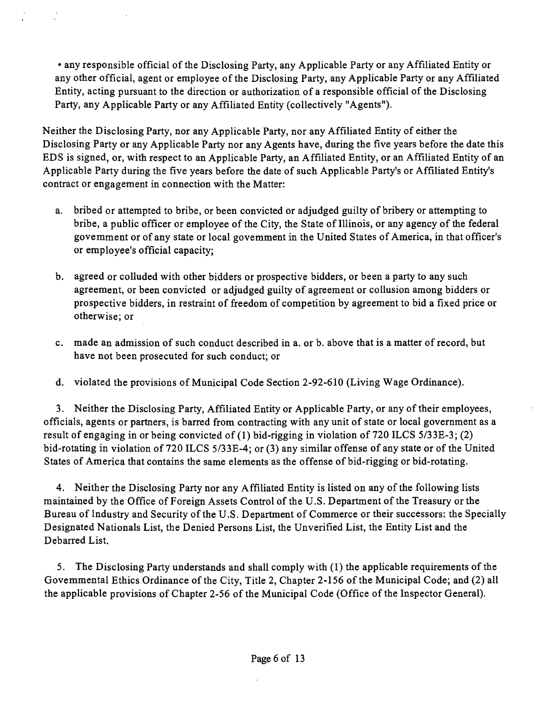• any responsible official of the Disclosing Party, any Applicable Party or any Affiliated Entity or any other official, agent or employee of the Disclosing Party, any Applicable Party or any Affiliated Entity, acting pursuant to the direction or authorization of a responsible official of the Disclosing Party, any Applicable Party or any Affiliated Entity (collectively "Agents").

Neither the Disclosing Party, nor any Applicable Party, nor any Affiliated Entity of either the Disclosing Party or any Applicable Party nor any Agents have, during the five years before the date this EDS is signed, or, with respect to an Applicable Party, an Affiliated Entity, or an Affiliated Entity of an Applicable Party during the five years before the date of such Applicable Party's or Affiliated Entity's contract or engagement in connection with the Matter:

- a. bribed or attempted to bribe, or been convicted or adjudged guilty of bribery or attempting to bribe, a public officer or employee of the City, the State of Illinois, or any agency of the federal govemment or of any state or local govemment in the United States of America, in that officer's or employee's official capacity;
- b. agreed or colluded with other bidders or prospective bidders, or been a party to any such agreement, or been convicted or adjudged guilty of agreement or collusion among bidders or prospective bidders, in restraint of freedom of competition by agreement to bid a fixed price or otherwise; or
- c. made an admission of such conduct described in a. or b. above that is a matter of record, but have not been prosecuted for such conduct; or
- d. violated the provisions of Municipal Code Section 2-92-610 (Living Wage Ordinance).

3. Neither the Disclosing Party, Affiliated Entity or Applicable Party, or any of their employees, officials, agents or partners, is barred from contracting with any unit of state or local government as a result of engaging in or being convicted of (1) bid-rigging in violation of 720 ILCS 5/33E-3; (2) bid-rotating in violation of 720 ILCS 5/33E-4; or (3) any similar offense of any state or of the United States of America that contains the same elements as the offense of bid-rigging or bid-rotating.

4. Neither the Disclosing Party nor any Affiliated Entity is listed on any of the following lists maintained by the Office of Foreign Assets Control of the U.S. Department of the Treasury or the Bureau of Industry and Security of the U.S. Department of Commerce or their successors: the Specially Designated Nationals List, the Denied Persons List, the Unverified List, the Entity List and the Debarred List.

5. The Disclosing Party understands and shall comply with (1) the applicable requirements of the Govemmental Ethics Ordinance of the City, Title 2, Chapter 2-156 of the Municipal Code; and (2) all the applicable provisions of Chapter 2-56 of the Municipal Code (Office of the Inspector General).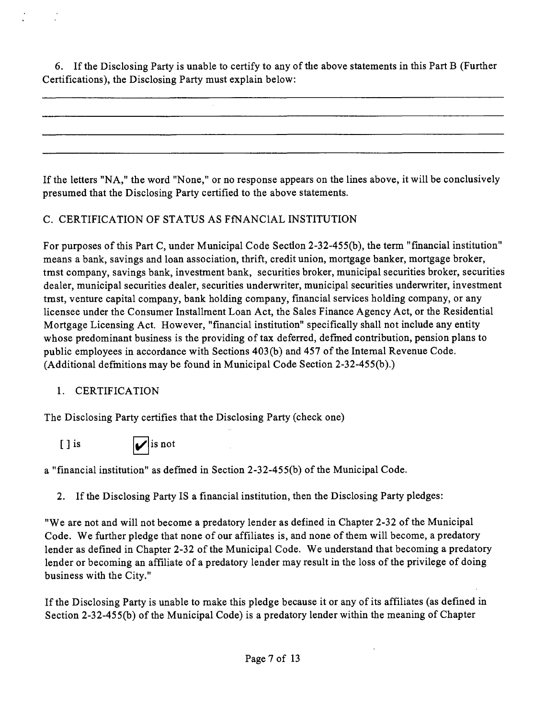6. If the Disclosing Party is unable to certify to any of the above statements in this Part B (Further Certifications), the Disclosing Party must explain below:

If the letters "NA," the word "None," or no response appears on the lines above, it will be conclusively presumed that the Disclosing Party certified to the above statements.

## C. CERTIFICATION OF STATUS AS FfNANClAL INSTITUTION

For purposes of this Part C, under Municipal Code Section 2-32-455(b), the term "financial institution" means a bank, savings and loan association, thrift, credit union, mortgage banker, mortgage broker, tmst company, savings bank, investment bank, securities broker, municipal securities broker, securities dealer, municipal securities dealer, securities underwriter, municipal securities underwriter, investment tmst, venture capital company, bank holding company, financial services holding company, or any licensee under the Consumer Installment Loan Act, the Sales Finance Agency Act, or the Residential Mortgage Licensing Act. However, "financial institution" specifically shall not include any entity whose predominant business is the providing of tax deferred, defmed contribution, pension plans to public employees in accordance with Sections 403(b) and 457 of the Intemal Revenue Code. (Additional defmitions may be found in Municipal Code Section 2-32-455(b).)

## 1. CERTIFICATION

The Disclosing Party certifies that the Disclosing Party (check one)

[ ] is  $\blacksquare$ 

a "financial institution" as defmed in Section 2-32-455(b) of the Municipal Code.

2. If the Disclosing Party IS a financial institution, then the Disclosing Party pledges:

"We are not and will not become a predatory lender as defined in Chapter 2-32 of the Municipal Code. We further pledge that none of our affiliates is, and none of them will become, a predatory lender as defined in Chapter 2-32 of the Municipal Code. We understand that becoming a predatory lender or becoming an affiliate of a predatory lender may result in the loss of the privilege of doing business with the City."

If the Disclosing Party is unable to make this pledge because it or any of its affiliates (as defined in Section 2-32-455(b) of the Municipal Code) is a predatory lender within the meaning of Chapter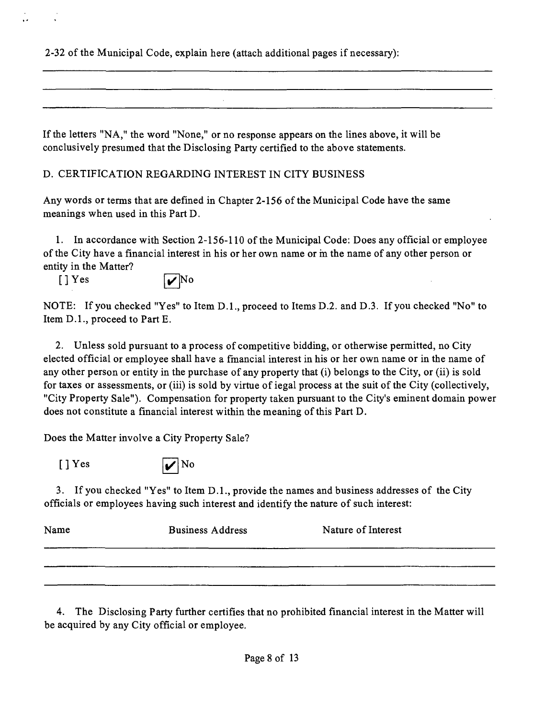2-32 of the Municipal Code, explain here (attach additional pages if necessary):

If the letters "NA," the word "None," or no response appears on the lines above, it will be conclusively presumed that the Disclosing Party certified to the above statements.

D. CERTIFICATION REGARDING INTEREST IN CITY BUSINESS

Any words or terms that are defined in Chapter 2-156 of the Municipal Code have the same meanings when used in this Part D.

1. In accordance with Section 2-156-110 ofthe Municipal Code: Does any official or employee of the City have a financial interest in his or her own name or m the name of any other person or entity in the Matter?

 $[J] Yes$   $\qquad \qquad$  No

NOTE: If you checked "Yes" to Item D.L, proceed to Items D.2. and D.3. If you checked "No" to Item D.L, proceed to Part E.

2. Unless sold pursuant to a process of competitive bidding, or otherwise permitted, no City elected official or employee shall have a fmancial interest in his or her own name or in the name of any other person or entity in the purchase of any property that (i) belongs to the City, or (ii) is sold for taxes or assessments, or (iii) is sold by virtue of iegal process at the suit of the City (collectively, "City Property Sale"). Compensation for property taken pursuant to the City's eminent domain power does not constitute a financial interest within the meaning of this Part D.

Does the Matter involve a City Property Sale?



3. If you checked "Yes" to Item D.L, provide the names and business addresses of the City officials or employees having such interest and identify the nature of such interest:

| Name | <b>Business Address</b> | Nature of Interest |
|------|-------------------------|--------------------|
|      |                         |                    |
|      |                         |                    |

4. The Disclosing Party further certifies that no prohibited financial interest in the Matter will be acquired by any City official or employee.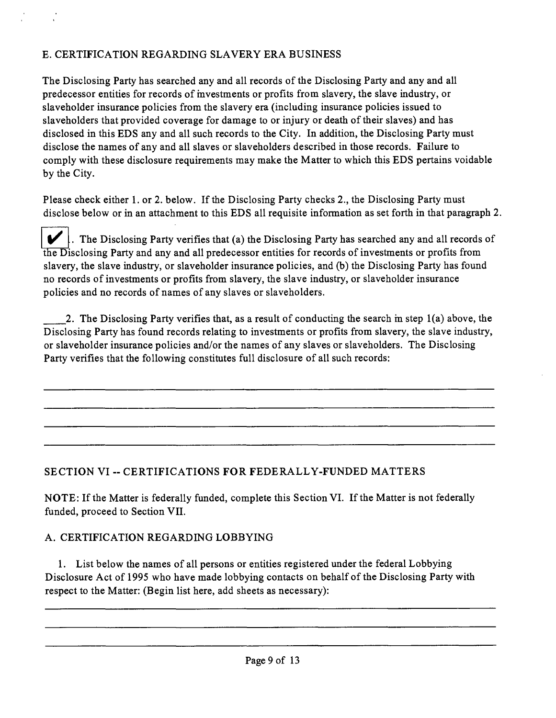## E. CERTIFICATION REGARDING SLAVERY ERA BUSINESS

The Disclosing Party has searched any and all records of the Disclosing Party and any and all predecessor entities for records of mvestments or profits from slavery, the slave industry, or slaveholder insurance policies from the slavery era (including insurance policies issued to slaveholders that provided coverage for damage to or injury or death of their slaves) and has disclosed in this EDS any and all such records to the City. In addition, the Disclosing Party must disclose the names of any and all slaves or slaveholders described in those records. Failure to comply with these disclosure requirements may make the Matter to which this EDS pertains voidable by the City.

Please check either 1. or 2. below. If the Disclosing Party checks 2., the Disclosing Party must disclose below or in an attachment to this EDS all requisite information as set forth in that paragraph 2.

 $\blacktriangleright$ . The Disclosing Party verifies that (a) the Disclosing Party has searched any and all records of the Disclosing Party and any and all predecessor entities for records of investments or profits from slavery, the slave industry, or slaveholder insurance policies, and (b) the Disclosing Party has found no records of investments or profits from slavery, the slave industry, or slaveholder insurance policies and no records of names of any slaves or slaveholders.

2. The Disclosing Party verifies that, as a result of conducting the search m step 1(a) above, the Disclosing Party has found records relating to investments or profits from slavery, the slave industry, or slaveholder insurance policies and/or the names of any slaves or slaveholders. The Disclosing Party verifies that the following constitutes full disclosure of all such records:

## **SECTION VI -- CERTIFICATIONS FOR FEDERALLY-FUNDED MATTERS**

NOTE: If the Matter is federally funded, complete this Section VI. If the Matter is not federally funded, proceed to Section VII.

## A. CERTIFICATION REGARDING LOBBYING

1. List below the names of all persons or entities registered under the federal Lobbying Disclosure Act of 1995 who have made lobbying contacts on behalf of the Disclosing Party with respect to the Matter: (Begin list here, add sheets as necessary):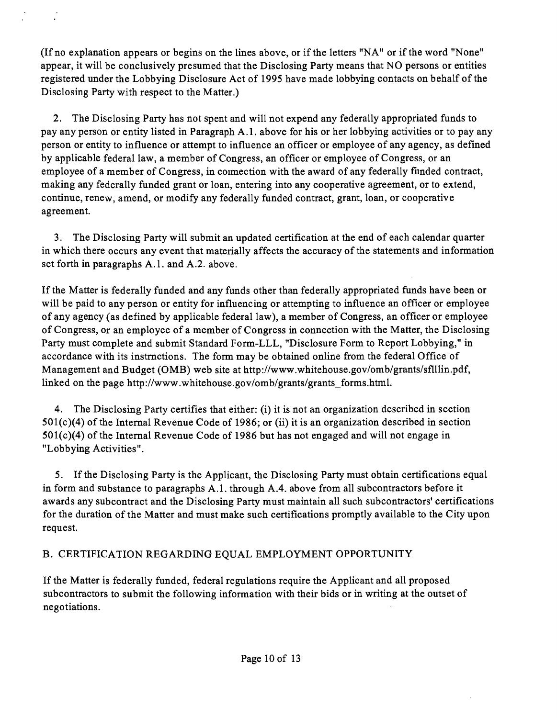(If no explanation appears or begins on the lines above, or if the letters "NA" or if the word "None" appear, it will be conclusively presumed that the Disclosing Party means that NO persons or entities registered under the Lobbying Disclosure Act of 1995 have made lobbying contacts on behalf of the Disclosing Party with respect to the Matter.)

2. The Disclosing Party has not spent and will not expend any federally appropriated funds to pay any person or entity listed in Paragraph A. 1. above for his or her lobbying activities or to pay any person or entity to influence or attempt to influence an officer or employee of any agency, as defined by applicable federal law, a member of Congress, an officer or employee of Congress, or an employee of a member of Congress, in coimection with the award of any federally fiinded contract, making any federally funded grant or loan, entering into any cooperative agreement, or to extend, continue, renew, amend, or modify any federally funded contract, grant, loan, or cooperative agreement.

3. The Disclosing Party will submit an updated certification at the end of each calendar quarter in which there occurs any event that materially affects the accuracy of the statements and information set forth in paragraphs A.1. and A.2. above.

If the Matter is federally funded and any funds other than federally appropriated funds have been or will be paid to any person or entity for influencing or attempting to influence an officer or employee of any agency (as defined by applicable federal law), a member of Congress, an officer or employee of Congress, or an employee of a member of Congress in connection with the Matter, the Disclosing Party must complete and submit Standard Form-LLL, "Disclosure Form to Report Lobbying," in accordance with its instmctions. The form may be obtained online from the federal Office of Management and Budget (OMB) web site at http://www.whitehouse.gov/omb/grants/sflllin.pdf, linked on the page http://www.whitehouse.gov/omb/grants/grants forms.html.

4. The Disclosing Party certifies that either: (i) it is not an organization described in section  $501(c)(4)$  of the Internal Revenue Code of 1986; or (ii) it is an organization described in section 501(c)(4) of the Intemal Revenue Code of 1986 but has not engaged and will not engage in "Lobbying Activities".

5. If the Disclosing Party is the Applicant, the Disclosing Party must obtain certifications equal in form and substance to paragraphs A.1, through A.4, above from all subcontractors before it awards any subcontract and the Disclosing Party must maintain all such subcontractors' certifications for the duration of the Matter and must make such certifications promptly available to the City upon request.

## B. CERTIFICATION REGARDING EQUAL EMPLOYMENT OPPORTUNITY

If the Matter is federally funded, federal regulations require the Applicant and all proposed subcontractors to submit the following information with their bids or in writing at the outset of negotiations.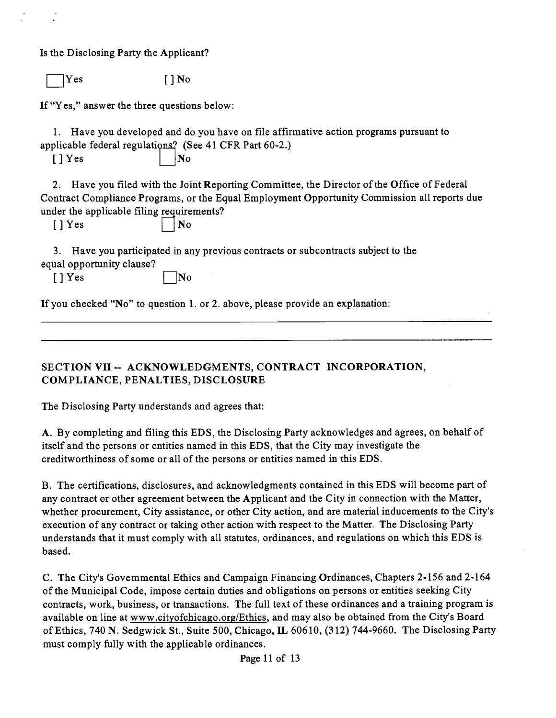Is the Disclosing Party the Applicant?

 $Yes$   $[ ]$  No

If "Yes," answer the three questions below:

1. Have you developed and do you have on file affirmative action programs pursuant to applicable federal regulations? (See 41 CFR Part 60-2.)

 $[$  | Yes  $]$  | No

2. Have you filed with the Joint Reporting Committee, the Director of the Office of Federal Contract Compliance Programs, or the Equal Employment Opportunity Commission all reports due under the applicable filing requirements?

 $[1]$   $[$   $]$   $[$   $]$   $[$   $]$   $[$   $]$   $[$   $]$   $[$   $]$   $[$   $]$   $[$   $]$   $[$   $]$   $[$   $]$   $[$   $]$   $[$   $]$   $[$   $]$   $[$   $]$   $[$   $]$   $[$   $]$   $[$   $]$   $[$   $]$   $[$   $]$   $[$   $]$   $[$   $]$   $[$   $]$   $[$   $]$   $[$   $]$   $[$   $]$   $[$   $]$   $[$   $]$ 

3. Have you participated in any previous contracts or subcontracts subject to the equal opportunity clause?

 $[$  | Yes  $\Box$  No

If you checked "No" to question 1. or 2. above, please provide an explanation:

**SECTION VII ~ ACKNOWLEDGMENTS, CONTRACT INCORPORATION, COMPLIANCE, PENALTIES, DISCLOSURE** 

The Disclosing Party understands and agrees that:

A. By completing and filing this EDS, the Disclosing Party acknowledges and agrees, on behalf of itself and the persons or entities named in this EDS, that the City may investigate the creditworthiness of some or all of the persons or entities named in this EDS.

B. The certifications, disclosures, and acknowledgments contained in this EDS will become part of any contract or other agreement between the Applicant and the City in connection with the Matter, whether procurement. City assistance, or other City action, and are material inducements to the City's execution of any contract or taking other action with respect to the Matter. The Disclosing Party understands that it must comply with all statutes, ordinances, and regulations on which this EDS is based.

C. The City's Govemmental Ethics and Campaign Financuig Ordinances, Chapters 2-156 and 2-164 of the Municipal Code, impose certain duties and obligations on persons or entities seeking City contracts, work, business, or transactions. The full text of these ordinances and a training program is available on line at www.cityofchicago.org/Ethics, and may also be obtained from the City's Board of Ethics, 740 N. Sedgwick St., Suite 500, Chicago, IL 60610, (312) 744-9660. The Disclosing Party must comply fully with the applicable ordinances.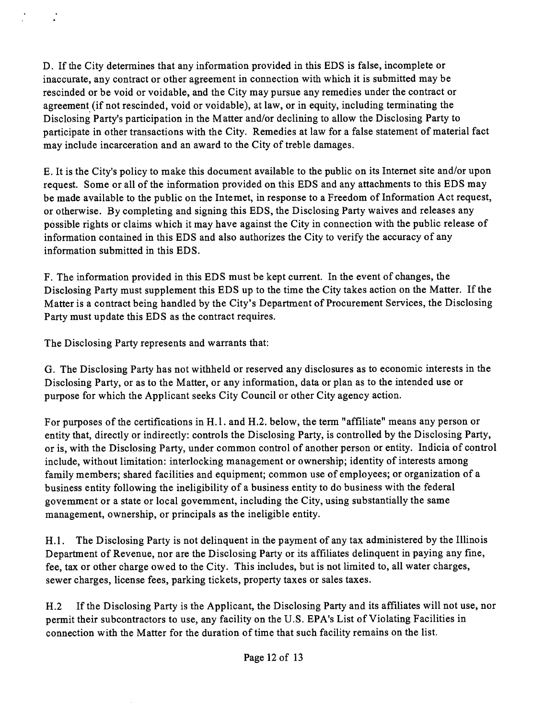D. If the City determines that any information provided in this EDS is false, incomplete or inaccurate, any contract or other agreement in connection with which it is submitted may be rescinded or be void or voidable, and the City may pursue any remedies under the contract or agreement (if not rescinded, void or voidable), at law, or in equity, including terminating the Disclosing Party's participation in the Matter and/or declining to allow the Disclosing Party to participate in other transactions with the City. Remedies at law for a false statement of material fact may include incarceration and an award to the City of treble damages.

E. It is the City's policy to make this document available to the public on its Internet site and/or upon request. Some or all of the information provided on this EDS and any attachments to this EDS may be made available to the public on the Intemet, in response to a Freedom of Information Act request, or otherwise. By completing and signing this EDS, the Disclosing Party waives and releases any possible rights or claims which it may have against the City in connection with the public release of information contained in this EDS and also authorizes the City to verify the accuracy of any information submitted in this EDS.

F. The information provided in this EDS must be kept current. In the event of changes, the Disclosing Party must supplement this EDS up to the time the City takes action on the Matter. If the Matter is a contract being handled by the City's Department of Procurement Services, the Disclosing Party must update this EDS as the contract requires.

The Disclosing Party represents and warrants that:

G. The Disclosing Party has not withheld or reserved any disclosures as to economic interests in the Disclosing Party, or as to the Matter, or any information, data or plan as to the intended use or purpose for which the Applicant seeks City Council or other City agency action.

For purposes of the certifications in H.1. and H.2. below, the term "affiliate" means any person or entity that, directly or indirectly: controls the Disclosing Party, is controlled by the Disclosing Party, or is, with the Disclosing Party, under common control of another person or entity. Indicia of control include, without limitation: interlocking management or ownership; identity of interests among family members; shared facilities and equipment; common use of employees; or organization of a business entity following the ineligibility of a business entity to do business with the federal govemment or a state or local govemment, including the City, using substantially the same management, ownership, or principals as the ineligible entity.

H.1. The Disclosing Party is not delinguent in the payment of any tax administered by the Illinois Department of Revenue, nor are the Disclosing Party or its affiliates delinquent in paying any fine, fee, tax or other charge owed to the City. This includes, but is not limited to, all water charges, sewer charges, license fees, parking tickets, property taxes or sales taxes.

H.2 If the Disclosing Party is the Applicant, the Disclosing Party and its affiliates will not use, nor permit their subcontractors to use, any facility on the U.S. EPA's List of Violating Facilities in connection with the Matter for the duration of time that such facility remains on the list.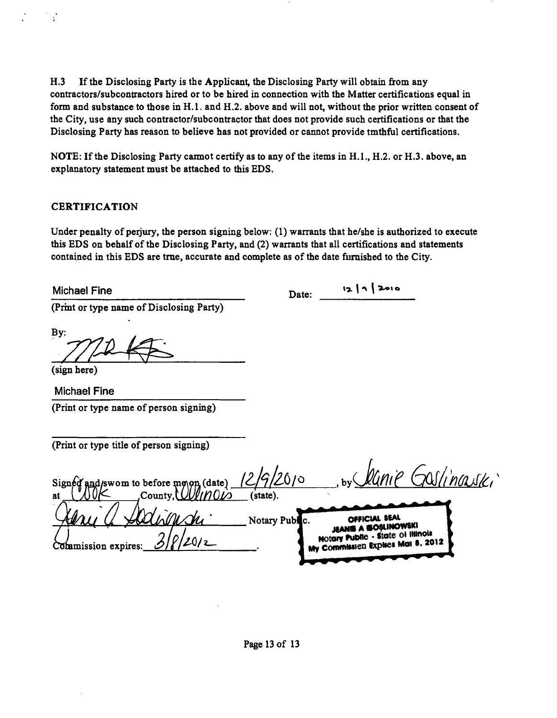H.3 If the Disclosing Party is the Applicant, the Disclosing Party will obtain from any **contractors/subcontractors hired or to be hured in connection with the Matter certifications equal in**  form and substance to those in H.1. and H.2. above and will not, without the prior written consent of **the City, use any such contractor/subcontractor that does not provide such certifications or that the Disclosing Party has reason to believe has not provided or cannot provide tmthful certifications.** 

**NOTE:** If the Disclosing Party carmot certify as to any of the items in H.1., H.2. or H.3. above, an **explanatory statement must be attached to this EDS.** 

#### **CERTIFICATION**

Under penalty of perjury, the person signing below: (1) warrants that he/she is authorized to execute **this EDS on behalf of the Disclosing Party, and (2) warrants that all certifications and statements contained in this EDS are tme, accurate and complete as of the date fumished to the City.** 

Michael Fine **Date:** 12 | 1 | 2010

**(Prmt or type name of Disclosing Party)** 

**By:** 

Ý

**(sign here)** 

**Michael Fine (Print or type name of person signing)** 

**(Print or type title of person signing)** 

lanie Goslinauski 6/0 Signed and/swom to before me<sub>N</sub>on (date) **,Countv.WiJfmO//3 (state) A Addison of The Contract Of The CONSTRUCTION OF THE OF THE CONSTRUCTION OF THE OF THE OF THE OF THE OF THE OF THE OF THE OF THE OF THE OF THE OF THE OF THE OF THE OF THE OF THE OF THE OF THE OF THE OF THE OF THE OF THE O** Commission expires:  $\frac{\mathcal{O}|\zeta/\mathcal{L}0/\mathcal{L}}{2}$  **Motor Mailland** Explores: Mai 8. 2012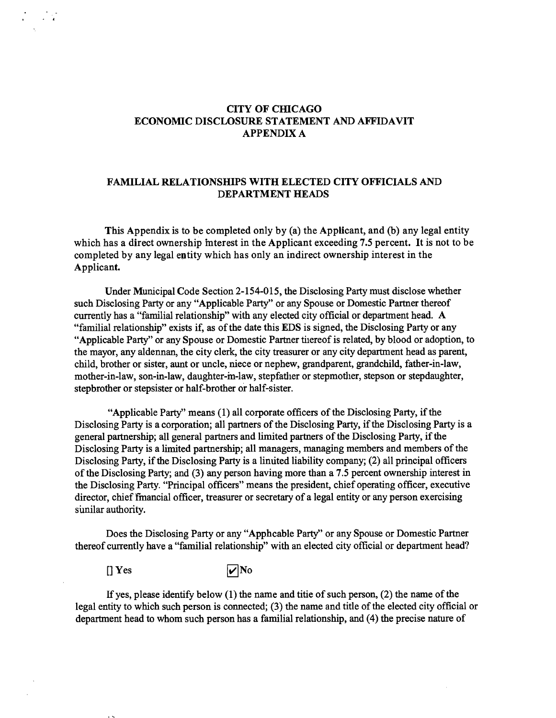#### **CITY OF CHICAGO ECONOMIC DISCLOSURE STATEMENT AND AFFIDAVIT APPENDIX A**

#### **FAMILIAL RELATIONSHIPS WITH ELECTED CITY OFFICIALS AND DEPARTMENT HEADS**

**This Appendix is to be completed only by (a) the Applicant, and (b) any legal entity which has a direct ownership mterest in the Applicant exceeding 7.5 percent. It is not to be completed by any legal entity which has only an indirect ownership interest in the**  Applicant.

Under Municipal Code Section 2-154-015, the Disclosing Party must disclose whether such Disclosing Party or any "Applicable Party" or any Spouse or Domestic Partner thereof currently has a "familial relationship" with any elected city official or department head. A "familial relationship" exists if, as of the date this EDS is signed, the Disclosing Party or any "Applicable Party" or any Spouse or Domestic Partner tiiereof is related, by blood or adoption, to the mayor, any aldennan, the city clerk, the city treasurer or any city department head as parent, child, brother or sister, aunt or uncle, niece or nephew, grandparent, grandchild, father-in-law, mother-in-law, son-in-law, daughter-m-law, stepfather or stepmother, stepson or stepdaughter, stepbrother or stepsister or half-brother or half-sister.

"Applicable Party" means (1) all corporate officers of the Disclosing Party, if the Disclosing Party is a corporation; all partners of the Disclosing Party, if the Disclosing Party is a general partnership; all general partners and limited partners of the Disclosing Party, if the Disclosing Party is a limited partnership; all managers, managing members and members of the Disclosing Party, if the Disclosing Party is a linuted liability company; (2) all principal officers of the Disclosing Party; and (3) any person having more than a 7.5 percent ownership interest in the Disclosing Party. "Principal officers" means the president, chief operating officer, executive director, chief fmancial officer, treasurer or secretary of a legal entity or any person exercising sunilar authority.

Does the Disclosing Party or any "Apphcable Party" or any Spouse or Domestic Partner thereof currently have a "familial relationship" with an elected city official or department head?

 $[$  Yes  $\overline{\mathbf{v}}$ No

If yes, please identify below  $(1)$  the name and titie of such person,  $(2)$  the name of the legal entity to which such person is connected; (3) the name and title of the elected city official or department head to whom such person has a familial relationship, and (4) the precise nature of